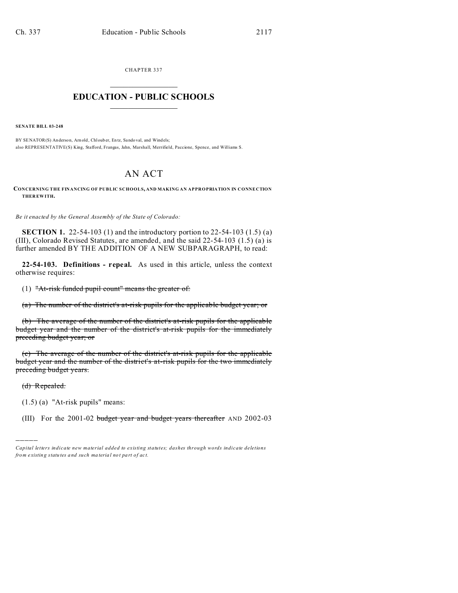CHAPTER 337  $\overline{\phantom{a}}$  , where  $\overline{\phantom{a}}$ 

# **EDUCATION - PUBLIC SCHOOLS**  $\_$   $\_$   $\_$   $\_$   $\_$   $\_$   $\_$   $\_$   $\_$

**SENATE BILL 03-248**

BY SENATOR(S) Anderson, Arn old, Chl oub er, En tz, Sando val, and Windels; also REPRESENTATIVE(S) King, Stafford, Frangas, Jahn, Marshall, Merrifield, Paccione, Spence, and Williams S.

# AN ACT

**CONCERNING THE FINANCING OF PUBLIC SCHOOLS, AND MAKING AN APPROPRIATION IN CONNECTION THER EWITH.**

*Be it enacted by the General Assembly of the State of Colorado:*

**SECTION 1.** 22-54-103 (1) and the introductory portion to 22-54-103 (1.5) (a) (III), Colorado Revised Statutes, are amended, and the said 22-54-103 (1.5) (a) is further amended BY THE ADDITION OF A NEW SUBPARAGRAPH, to read:

**22-54-103. Definitions - repeal.** As used in this article, unless the context otherwise requires:

(1) "At-risk funded pupil count" means the greater of:

(a) The number of the district's at-risk pupils for the applicable budget year; or

(b) The average of the number of the district's at-risk pupils for the applicable budget year and the number of the district's at-risk pupils for the immediately preceding budget year; or

(c) The average of the number of the district's at-risk pupils for the applicable budget year and the number of the district's at-risk pupils for the two immediately preceding budget years.

(d) Repealed.

)))))

(1.5) (a) "At-risk pupils" means:

(III) For the 2001-02 budget year and budget years thereafter AND 2002-03

*Capital letters indicate new material added to existing statutes; dashes through words indicate deletions from e xistin g statu tes a nd such ma teria l no t pa rt of ac t.*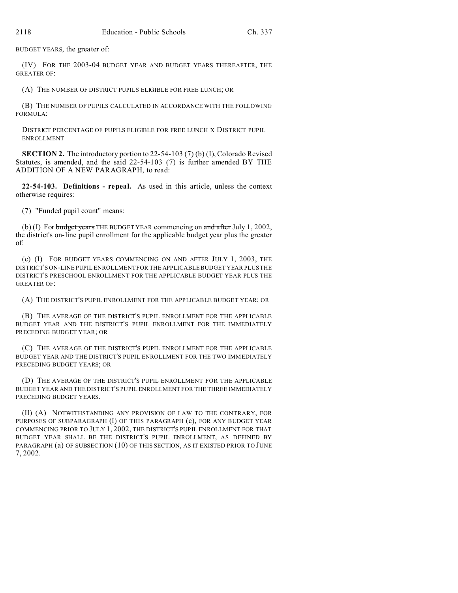BUDGET YEARS, the greater of:

(IV) FOR THE 2003-04 BUDGET YEAR AND BUDGET YEARS THEREAFTER, THE GREATER OF:

(A) THE NUMBER OF DISTRICT PUPILS ELIGIBLE FOR FREE LUNCH; OR

(B) THE NUMBER OF PUPILS CALCULATED IN ACCORDANCE WITH THE FOLLOWING FORMULA:

DISTRICT PERCENTAGE OF PUPILS ELIGIBLE FOR FREE LUNCH X DISTRICT PUPIL ENROLLMENT

**SECTION 2.** The introductory portion to 22-54-103 (7) (b) (I), Colorado Revised Statutes, is amended, and the said 22-54-103 (7) is further amended BY THE ADDITION OF A NEW PARAGRAPH, to read:

**22-54-103. Definitions - repeal.** As used in this article, unless the context otherwise requires:

(7) "Funded pupil count" means:

(b) (I) For budget years THE BUDGET YEAR commencing on and after July 1, 2002, the district's on-line pupil enrollment for the applicable budget year plus the greater of:

(c) (I) FOR BUDGET YEARS COMMENCING ON AND AFTER JULY 1, 2003, THE DISTRICT'S ON-LINE PUPIL ENROLLMENT FOR THE APPLICABLE BUDGET YEAR PLUS THE DISTRICT'S PRESCHOOL ENROLLMENT FOR THE APPLICABLE BUDGET YEAR PLUS THE GREATER OF:

(A) THE DISTRICT'S PUPIL ENROLLMENT FOR THE APPLICABLE BUDGET YEAR; OR

(B) THE AVERAGE OF THE DISTRICT'S PUPIL ENROLLMENT FOR THE APPLICABLE BUDGET YEAR AND THE DISTRICT'S PUPIL ENROLLMENT FOR THE IMMEDIATELY PRECEDING BUDGET YEAR; OR

(C) THE AVERAGE OF THE DISTRICT'S PUPIL ENROLLMENT FOR THE APPLICABLE BUDGET YEAR AND THE DISTRICT'S PUPIL ENROLLMENT FOR THE TWO IMMEDIATELY PRECEDING BUDGET YEARS; OR

(D) THE AVERAGE OF THE DISTRICT'S PUPIL ENROLLMENT FOR THE APPLICABLE BUDGET YEAR AND THE DISTRICT'S PUPIL ENROLLMENT FOR THE THREE IMMEDIATELY PRECEDING BUDGET YEARS.

(II) (A) NOTWITHSTANDING ANY PROVISION OF LAW TO THE CONTRARY, FOR PURPOSES OF SUBPARAGRAPH (I) OF THIS PARAGRAPH (c), FOR ANY BUDGET YEAR COMMENCING PRIOR TO JULY 1, 2002, THE DISTRICT'S PUPIL ENROLLMENT FOR THAT BUDGET YEAR SHALL BE THE DISTRICT'S PUPIL ENROLLMENT, AS DEFINED BY PARAGRAPH (a) OF SUBSECTION (10) OF THIS SECTION, AS IT EXISTED PRIOR TO JUNE 7, 2002.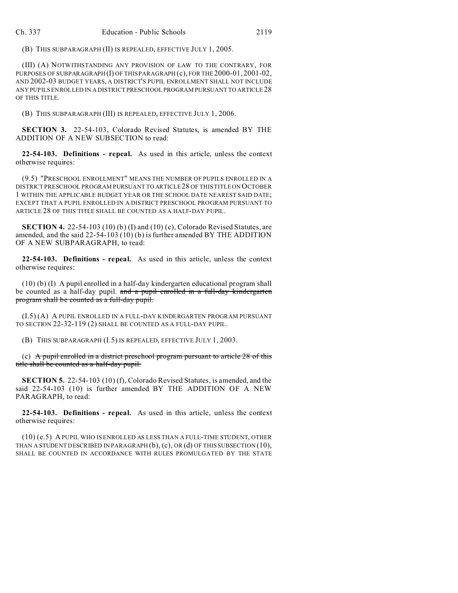(B) THIS SUBPARAGRAPH (II) IS REPEALED, EFFECTIVE JULY 1, 2005.

(III) (A) NOTWITHSTANDING ANY PROVISION OF LAW TO THE CONTRARY, FOR PURPOSES OF SUBPARAGRAPH (I) OF THIS PARAGRAPH (c), FOR THE 2000-01, 2001-02, AND 2002-03 BUDGET YEARS, A DISTRICT'S PUPIL ENROLLMENT SHALL NOT INCLUDE ANY PUPILS ENROLLED IN A DISTRICT PRESCHOOL PROGRAM PURSUANT TO ARTICLE 28 OF THIS TITLE.

(B) THIS SUBPARAGRAPH (III) IS REPEALED, EFFECTIVE JULY 1, 2006.

**SECTION 3.** 22-54-103, Colorado Revised Statutes, is amended BY THE ADDITION OF A NEW SUBSECTION to read:

**22-54-103. Definitions - repeal.** As used in this article, unless the context otherwise requires:

(9.5) "PRESCHOOL ENROLLMENT" MEANS THE NUMBER OF PUPILS ENROLLED IN A DISTRICT PRESCHOOL PROGRAM PURSUANT TO ARTICLE 28 OF THIS TITLE ON OCTOBER 1 WITHIN THE APPLICABLE BUDGET YEAR OR THE SCHOOL DATE NEAREST SAID DATE; EXCEPT THAT A PUPIL ENROLLED IN A DISTRICT PRESCHOOL PROGRAM PURSUANT TO ARTICLE 28 OF THIS TITLE SHALL BE COUNTED AS A HALF-DAY PUPIL.

**SECTION 4.** 22-54-103 (10) (b) (I) and (10) (c), Colorado Revised Statutes, are amended, and the said 22-54-103 (10) (b) is further amended BY THE ADDITION OF A NEW SUBPARAGRAPH, to read:

**22-54-103. Definitions - repeal.** As used in this article, unless the context otherwise requires:

(10) (b) (I) A pupil enrolled in a half-day kindergarten educational program shall be counted as a half-day pupil. and a pupil enrolled in a full-day kindergarten program shall be counted as a full-day pupil.

(I.5) (A) A PUPIL ENROLLED IN A FULL-DAY KINDERGARTEN PROGRAM PURSUANT TO SECTION 22-32-119 (2) SHALL BE COUNTED AS A FULL-DAY PUPIL.

(B) THIS SUBPARAGRAPH (I.5) IS REPEALED, EFFECTIVE JULY 1, 2003.

(c) A pupil enrolled in a district preschool program pursuant to article  $28$  of this title shall be counted as a half-day pupil.

**SECTION 5.** 22-54-103 (10) (f), Colorado Revised Statutes, is amended, and the said 22-54-103 (10) is further amended BY THE ADDITION OF A NEW PARAGRAPH, to read:

**22-54-103. Definitions - repeal.** As used in this article, unless the context otherwise requires:

(10) (e.5) A PUPIL WHO IS ENROLLED AS LESS THAN A FULL-TIME STUDENT, OTHER THAN A STUDENT DESCRIBED IN PARAGRAPH (b), (c), OR (d) OF THIS SUBSECTION (10), SHALL BE COUNTED IN ACCORDANCE WITH RULES PROMULGATED BY THE STATE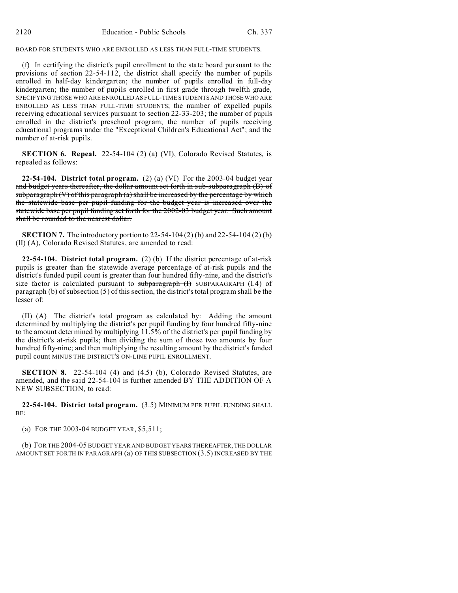BOARD FOR STUDENTS WHO ARE ENROLLED AS LESS THAN FULL-TIME STUDENTS.

(f) In certifying the district's pupil enrollment to the state board pursuant to the provisions of section 22-54-112, the district shall specify the number of pupils enrolled in half-day kindergarten; the number of pupils enrolled in full-day kindergarten; the number of pupils enrolled in first grade through twelfth grade, SPECIFYING THOSE WHO ARE ENROLLED AS FULL-TIME STUDENTS AND THOSEWHO ARE ENROLLED AS LESS THAN FULL-TIME STUDENTS; the number of expelled pupils receiving educational services pursuant to section 22-33-203; the number of pupils enrolled in the district's preschool program; the number of pupils receiving educational programs under the "Exceptional Children's Educational Act"; and the number of at-risk pupils.

**SECTION 6. Repeal.** 22-54-104 (2) (a) (VI), Colorado Revised Statutes, is repealed as follows:

**22-54-104. District total program.** (2) (a) (VI) For the 2003-04 budget year and budget years thereafter, the dollar amount set forth in sub-subparagraph (B) of subparagraph  $(V)$  of this paragraph  $(a)$  shall be increased by the percentage by which the statewide base per pupil funding for the budget year is increased over the statewide base per pupil funding set forth for the 2002-03 budget year. Such amount shall be rounded to the nearest dollar.

**SECTION 7.** The introductory portion to 22-54-104 (2) (b) and 22-54-104 (2) (b) (II) (A), Colorado Revised Statutes, are amended to read:

**22-54-104. District total program.** (2) (b) If the district percentage of at-risk pupils is greater than the statewide average percentage of at-risk pupils and the district's funded pupil count is greater than four hundred fifty-nine, and the district's size factor is calculated pursuant to subparagraph  $(H)$  SUBPARAGRAPH (I.4) of paragraph (b) of subsection (5) of this section, the district's total program shall be the lesser of:

(II) (A) The district's total program as calculated by: Adding the amount determined by multiplying the district's per pupil funding by four hundred fifty-nine to the amount determined by multiplying 11.5% of the district's per pupil funding by the district's at-risk pupils; then dividing the sum of those two amounts by four hundred fifty-nine; and then multiplying the resulting amount by the district's funded pupil count MINUS THE DISTRICT'S ON-LINE PUPIL ENROLLMENT.

**SECTION 8.** 22-54-104 (4) and (4.5) (b), Colorado Revised Statutes, are amended, and the said 22-54-104 is further amended BY THE ADDITION OF A NEW SUBSECTION, to read:

**22-54-104. District total program.** (3.5) MINIMUM PER PUPIL FUNDING SHALL BE:

(a) FOR THE 2003-04 BUDGET YEAR, \$5,511;

(b) FOR THE 2004-05 BUDGET YEAR AND BUDGET YEARS THEREAFTER, THE DOLLAR AMOUNT SET FORTH IN PARAGRAPH (a) OF THIS SUBSECTION (3.5) INCREASED BY THE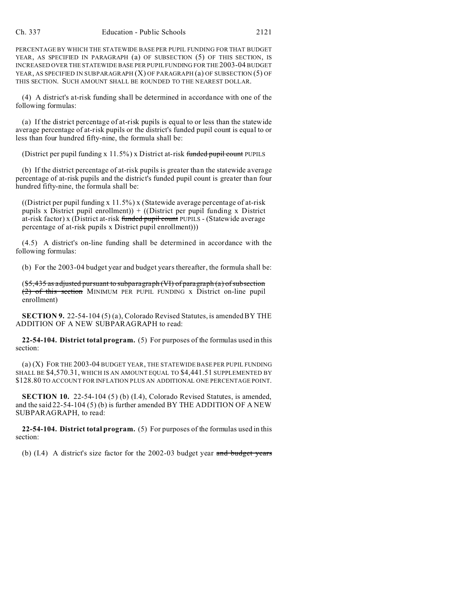PERCENTAGE BY WHICH THE STATEWIDE BASE PER PUPIL FUNDING FOR THAT BUDGET YEAR, AS SPECIFIED IN PARAGRAPH (a) OF SUBSECTION (5) OF THIS SECTION, IS INCREASED OVER THE STATEWIDE BASE PER PUPIL FUNDING FOR THE 2003-04 BUDGET YEAR, AS SPECIFIED IN SUBPARAGRAPH (X) OF PARAGRAPH (a) OF SUBSECTION (5) OF THIS SECTION. SUCH AMOUNT SHALL BE ROUNDED TO THE NEAREST DOLLAR.

(4) A district's at-risk funding shall be determined in accordance with one of the following formulas:

(a) If the district percentage of at-risk pupils is equal to or less than the statewide average percentage of at-risk pupils or the district's funded pupil count is equal to or less than four hundred fifty-nine, the formula shall be:

(District per pupil funding  $x\ 11.5\%$ ) x District at-risk funded pupil count PUPILS

(b) If the district percentage of at-risk pupils is greater than the statewide average percentage of at-risk pupils and the district's funded pupil count is greater than four hundred fifty-nine, the formula shall be:

((District per pupil funding x 11.5%) x (Statewide average percentage of at-risk pupils x District pupil enrollment)) + ((District per pupil funding x District at-risk factor) x (District at-risk funded pupil count PUPILS - (Statewide average percentage of at-risk pupils x District pupil enrollment)))

(4.5) A district's on-line funding shall be determined in accordance with the following formulas:

(b) For the 2003-04 budget year and budget years thereafter, the formula shall be:

(\$5,435 as adjusted pursuant to subparagraph (VI) of paragraph (a) of subsection (2) of this section MINIMUM PER PUPIL FUNDING x District on-line pupil enrollment)

**SECTION 9.** 22-54-104 (5) (a), Colorado Revised Statutes, is amended BY THE ADDITION OF A NEW SUBPARAGRAPH to read:

**22-54-104. District total program.** (5) For purposes of the formulas used in this section:

(a) (X) FOR THE 2003-04 BUDGET YEAR, THE STATEWIDE BASE PER PUPIL FUNDING SHALL BE \$4,570.31, WHICH IS AN AMOUNT EQUAL TO \$4,441.51 SUPPLEMENTED BY \$128.80 TO ACCOUNT FOR INFLATION PLUS AN ADDITIONAL ONE PERCENTAGE POINT.

**SECTION 10.** 22-54-104 (5) (b) (I.4), Colorado Revised Statutes, is amended, and the said 22-54-104 (5) (b) is further amended BY THE ADDITION OF A NEW SUBPARAGRAPH, to read:

**22-54-104. District total program.** (5) For purposes of the formulas used in this section:

(b)  $(1.4)$  A district's size factor for the 2002-03 budget year and budget years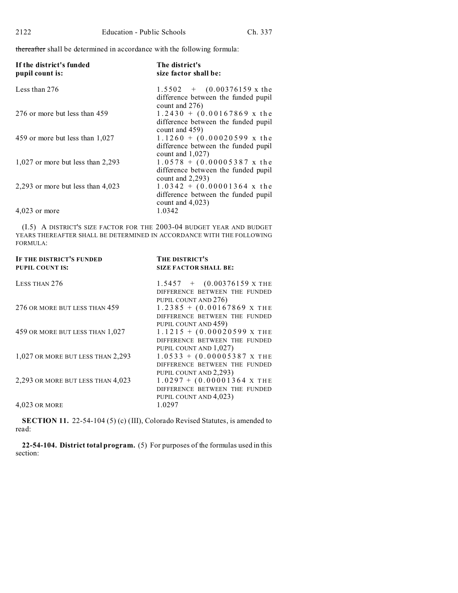thereafter shall be determined in accordance with the following formula:

| If the district's funded<br>pupil count is: | The district's<br>size factor shall be:                                                                   |
|---------------------------------------------|-----------------------------------------------------------------------------------------------------------|
| Less than 276                               | $1.5502 + (0.00376159 \text{ x} \text{ the})$<br>difference between the funded pupil<br>count and $276$ ) |
| 276 or more but less than 459               | $1.2430 + (0.00167869 \text{ x}$ the<br>difference between the funded pupil<br>count and $459$ )          |
| 459 or more but less than 1,027             | $1.1260 + (0.00020599 \text{ x the})$<br>difference between the funded pupil<br>count and $1,027$ )       |
| $1,027$ or more but less than 2,293         | $1.0578 + (0.00005387 \text{ x the})$<br>difference between the funded pupil<br>count and $2,293$ )       |
| 2,293 or more but less than $4,023$         | $1.0342 + (0.00001364 \text{ x}$ the<br>difference between the funded pupil<br>count and $4,023$ )        |
| $4,023$ or more                             | 1.0342                                                                                                    |

(I.5) A DISTRICT'S SIZE FACTOR FOR THE 2003-04 BUDGET YEAR AND BUDGET YEARS THEREAFTER SHALL BE DETERMINED IN ACCORDANCE WITH THE FOLLOWING FORMULA:

| <b>IF THE DISTRICT'S FUNDED</b><br><b>PUPIL COUNT IS:</b> | THE DISTRICT'S<br><b>SIZE FACTOR SHALL BE:</b>                                                           |
|-----------------------------------------------------------|----------------------------------------------------------------------------------------------------------|
| LESS THAN 276                                             | $1.5457 + (0.00376159 \text{ x} \text{ }^{\text{T}}$<br>DIFFERENCE BETWEEN THE FUNDED                    |
| 276 OR MORE BUT LESS THAN 459                             | PUPIL COUNT AND 276)<br>$1.2385 + (0.00167869 \text{ X} \text{ THE})$<br>DIFFERENCE BETWEEN THE FUNDED   |
| 459 OR MORE BUT LESS THAN 1,027                           | PUPIL COUNT AND 459)<br>$1.1215 + (0.00020599 \text{ X} \text{ THE})$<br>DIFFERENCE BETWEEN THE FUNDED   |
| 1,027 OR MORE BUT LESS THAN 2,293                         | PUPIL COUNT AND 1,027)<br>$1.0533 + (0.00005387 \text{ X} \text{ THE})$<br>DIFFERENCE BETWEEN THE FUNDED |
| 2,293 OR MORE BUT LESS THAN 4,023                         | PUPIL COUNT AND 2,293)<br>$1.0297 + (0.00001364 \text{ X} \text{ THE})$<br>DIFFERENCE BETWEEN THE FUNDED |
| 4,023 OR MORE                                             | PUPIL COUNT AND 4,023)<br>1.0297                                                                         |

**SECTION 11.** 22-54-104 (5) (c) (III), Colorado Revised Statutes, is amended to read:

**22-54-104. District total program.** (5) For purposes of the formulas used in this section: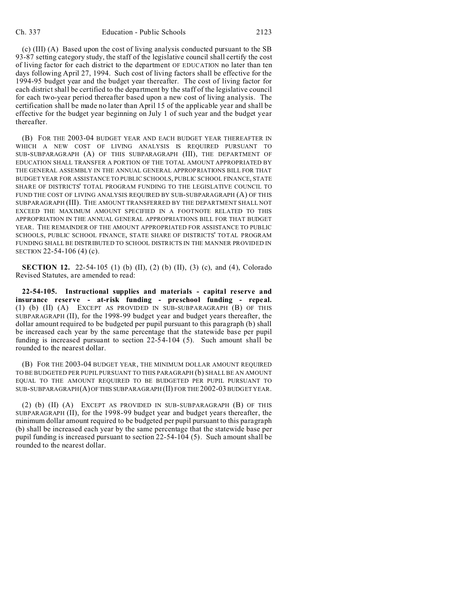(c) (III) (A) Based upon the cost of living analysis conducted pursuant to the SB 93-87 setting category study, the staff of the legislative council shall certify the cost of living factor for each district to the department OF EDUCATION no later than ten days following April 27, 1994. Such cost of living factors shall be effective for the 1994-95 budget year and the budget year thereafter. The cost of living factor for each district shall be certified to the department by the staff of the legislative council for each two-year period thereafter based upon a new cost of living analysis. The certification shall be made no later than April 15 of the applicable year and shall be effective for the budget year beginning on July 1 of such year and the budget year thereafter.

(B) FOR THE 2003-04 BUDGET YEAR AND EACH BUDGET YEAR THEREAFTER IN WHICH A NEW COST OF LIVING ANALYSIS IS REQUIRED PURSUANT TO SUB-SUBPARAGRAPH (A) OF THIS SUBPARAGRAPH (III), THE DEPARTMENT OF EDUCATION SHALL TRANSFER A PORTION OF THE TOTAL AMOUNT APPROPRIATED BY THE GENERAL ASSEMBLY IN THE ANNUAL GENERAL APPROPRIATIONS BILL FOR THAT BUDGET YEAR FOR ASSISTANCE TO PUBLIC SCHOOLS, PUBLIC SCHOOL FINANCE, STATE SHARE OF DISTRICTS' TOTAL PROGRAM FUNDING TO THE LEGISLATIVE COUNCIL TO FUND THE COST OF LIVING ANALYSIS REQUIRED BY SUB-SUBPARAGRAPH (A) OF THIS SUBPARAGRAPH (III). THE AMOUNT TRANSFERRED BY THE DEPARTMENT SHALL NOT EXCEED THE MAXIMUM AMOUNT SPECIFIED IN A FOOTNOTE RELATED TO THIS APPROPRIATION IN THE ANNUAL GENERAL APPROPRIATIONS BILL FOR THAT BUDGET YEAR. THE REMAINDER OF THE AMOUNT APPROPRIATED FOR ASSISTANCE TO PUBLIC SCHOOLS, PUBLIC SCHOOL FINANCE, STATE SHARE OF DISTRICTS' TOTAL PROGRAM FUNDING SHALL BE DISTRIBUTED TO SCHOOL DISTRICTS IN THE MANNER PROVIDED IN SECTION 22-54-106 (4) (c).

**SECTION 12.** 22-54-105 (1) (b) (II), (2) (b) (II), (3) (c), and (4), Colorado Revised Statutes, are amended to read:

**22-54-105. Instructional supplies and materials - capital reserve and insurance reserve - at-risk funding - preschool funding - repeal.** (1) (b) (II) (A) EXCEPT AS PROVIDED IN SUB-SUBPARAGRAPH (B) OF THIS SUBPARAGRAPH (II), for the 1998-99 budget year and budget years thereafter, the dollar amount required to be budgeted per pupil pursuant to this paragraph (b) shall be increased each year by the same percentage that the statewide base per pupil funding is increased pursuant to section 22-54-104 (5). Such amount shall be rounded to the nearest dollar.

(B) FOR THE 2003-04 BUDGET YEAR, THE MINIMUM DOLLAR AMOUNT REQUIRED TO BE BUDGETED PER PUPIL PURSUANT TO THIS PARAGRAPH (b) SHALL BE AN AMOUNT EQUAL TO THE AMOUNT REQUIRED TO BE BUDGETED PER PUPIL PURSUANT TO SUB-SUBPARAGRAPH(A) OFTHIS SUBPARAGRAPH (II) FOR THE 2002-03 BUDGET YEAR.

(2) (b) (II) (A) EXCEPT AS PROVIDED IN SUB-SUBPARAGRAPH (B) OF THIS SUBPARAGRAPH (II), for the 1998-99 budget year and budget years thereafter, the minimum dollar amount required to be budgeted per pupil pursuant to this paragraph (b) shall be increased each year by the same percentage that the statewide base per pupil funding is increased pursuant to section 22-54-104 (5). Such amount shall be rounded to the nearest dollar.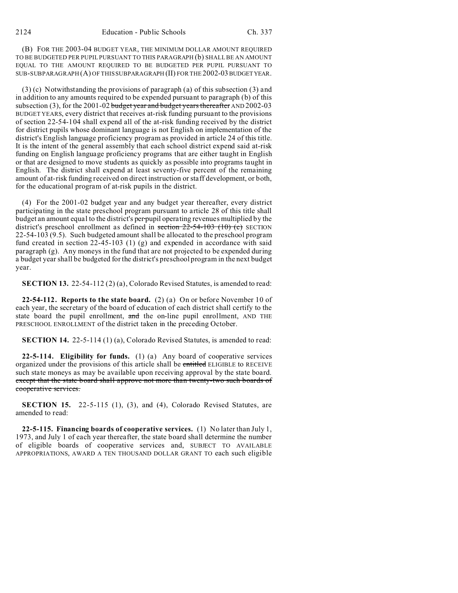(B) FOR THE 2003-04 BUDGET YEAR, THE MINIMUM DOLLAR AMOUNT REQUIRED TO BE BUDGETED PER PUPIL PURSUANT TO THIS PARAGRAPH (b) SHALL BE AN AMOUNT EQUAL TO THE AMOUNT REQUIRED TO BE BUDGETED PER PUPIL PURSUANT TO SUB-SUBPARAGRAPH (A) OF THIS SUBPARAGRAPH (II) FOR THE 2002-03 BUDGET YEAR.

(3) (c) Notwithstanding the provisions of paragraph (a) of this subsection (3) and in addition to any amounts required to be expended pursuant to paragraph (b) of this subsection (3), for the 2001-02 budget year and budget years thereafter AND 2002-03 BUDGET YEARS, every district that receives at-risk funding pursuant to the provisions of section 22-54-104 shall expend all of the at-risk funding received by the district for district pupils whose dominant language is not English on implementation of the district's English language proficiency program as provided in article 24 of this title. It is the intent of the general assembly that each school district expend said at-risk funding on English language proficiency programs that are either taught in English or that are designed to move students as quickly as possible into programs taught in English. The district shall expend at least seventy-five percent of the remaining amount of at-risk funding received on direct instruction or staff development, or both, for the educational program of at-risk pupils in the district.

(4) For the 2001-02 budget year and any budget year thereafter, every district participating in the state preschool program pursuant to article 28 of this title shall budget an amount equal to the district's per pupil operating revenues multiplied by the district's preschool enrollment as defined in section  $22-54-103$  (10) (c) SECTION 22-54-103 (9.5). Such budgeted amount shall be allocated to the preschool program fund created in section 22-45-103 (1) (g) and expended in accordance with said paragraph (g). Any moneys in the fund that are not projected to be expended during a budget year shall be budgeted for the district's preschool program in the next budget year.

**SECTION 13.** 22-54-112 (2) (a), Colorado Revised Statutes, is amended to read:

**22-54-112. Reports to the state board.** (2) (a) On or before November 10 of each year, the secretary of the board of education of each district shall certify to the state board the pupil enrollment, and the on-line pupil enrollment, AND THE PRESCHOOL ENROLLMENT of the district taken in the preceding October.

**SECTION 14.** 22-5-114 (1) (a), Colorado Revised Statutes, is amended to read:

**22-5-114. Eligibility for funds.** (1) (a) Any board of cooperative services organized under the provisions of this article shall be entitled ELIGIBLE to RECEIVE such state moneys as may be available upon receiving approval by the state board. except that the state board shall approve not more than twenty-two such boards of cooperative services.

**SECTION 15.** 22-5-115 (1), (3), and (4), Colorado Revised Statutes, are amended to read:

**22-5-115. Financing boards of cooperative services.** (1) No later than July 1, 1973, and July 1 of each year thereafter, the state board shall determine the number of eligible boards of cooperative services and, SUBJECT TO AVAILABLE APPROPRIATIONS, AWARD A TEN THOUSAND DOLLAR GRANT TO each such eligible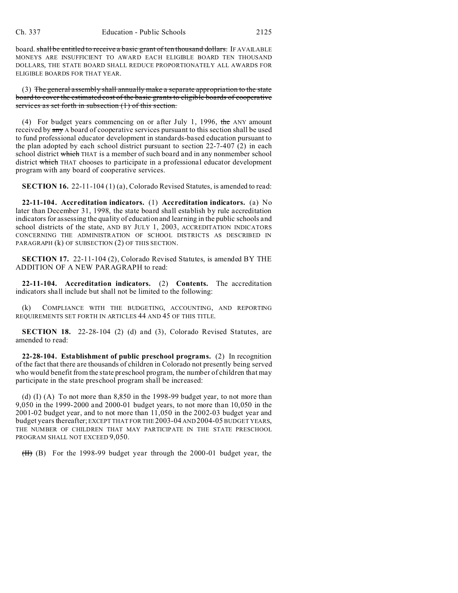board. shall be entitled to receive a basic grant of ten thousand dollars. IF AVAILABLE MONEYS ARE INSUFFICIENT TO AWARD EACH ELIGIBLE BOARD TEN THOUSAND DOLLARS, THE STATE BOARD SHALL REDUCE PROPORTIONATELY ALL AWARDS FOR ELIGIBLE BOARDS FOR THAT YEAR.

(3) The general assembly shall annually make a separate appropriation to the state board to cover the estimated cost of the basic grants to eligible boards of cooperative services as set forth in subsection (1) of this section.

(4) For budget years commencing on or after July 1, 1996, the ANY amount received by  $\frac{any}{any}$  A board of cooperative services pursuant to this section shall be used to fund professional educator development in standards-based education pursuant to the plan adopted by each school district pursuant to section  $22-7-407(2)$  in each school district which THAT is a member of such board and in any nonmember school district which THAT chooses to participate in a professional educator development program with any board of cooperative services.

**SECTION 16.** 22-11-104 (1) (a), Colorado Revised Statutes, is amended to read:

**22-11-104. Accreditation indicators.** (1) **Accreditation indicators.** (a) No later than December 31, 1998, the state board shall establish by rule accreditation indicators for assessing the quality of education and learning in the public schools and school districts of the state, AND BY JULY 1, 2003, ACCREDITATION INDICATORS CONCERNING THE ADMINISTRATION OF SCHOOL DISTRICTS AS DESCRIBED IN PARAGRAPH (k) OF SUBSECTION (2) OF THIS SECTION.

**SECTION 17.** 22-11-104 (2), Colorado Revised Statutes, is amended BY THE ADDITION OF A NEW PARAGRAPH to read:

**22-11-104. Accreditation indicators.** (2) **Contents.** The accreditation indicators shall include but shall not be limited to the following:

(k) COMPLIANCE WITH THE BUDGETING, ACCOUNTING, AND REPORTING REQUIREMENTS SET FORTH IN ARTICLES 44 AND 45 OF THIS TITLE.

**SECTION 18.** 22-28-104 (2) (d) and (3), Colorado Revised Statutes, are amended to read:

**22-28-104. Establishment of public preschool programs.** (2) In recognition of the fact that there are thousands of children in Colorado not presently being served who would benefit from the state preschool program, the number of children that may participate in the state preschool program shall be increased:

(d) (I) (A) To not more than 8,850 in the 1998-99 budget year, to not more than 9,050 in the 1999-2000 and 2000-01 budget years, to not more than 10,050 in the 2001-02 budget year, and to not more than 11,050 in the 2002-03 budget year and budget years thereafter; EXCEPT THAT FOR THE 2003-04 AND 2004-05 BUDGET YEARS, THE NUMBER OF CHILDREN THAT MAY PARTICIPATE IN THE STATE PRESCHOOL PROGRAM SHALL NOT EXCEED 9,050.

(II) (B) For the 1998-99 budget year through the 2000-01 budget year, the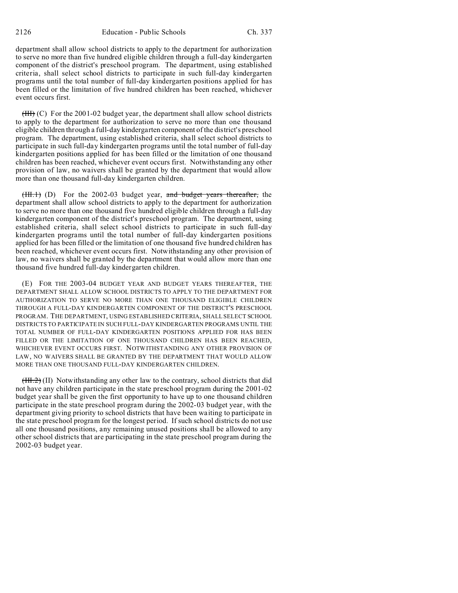department shall allow school districts to apply to the department for authorization to serve no more than five hundred eligible children through a full-day kindergarten component of the district's preschool program. The department, using established criteria, shall select school districts to participate in such full-day kindergarten programs until the total number of full-day kindergarten positions applied for has been filled or the limitation of five hundred children has been reached, whichever event occurs first.

 $(HH)$  (C) For the 2001-02 budget year, the department shall allow school districts to apply to the department for authorization to serve no more than one thousand eligible children through a full-day kindergarten component of the district's preschool program. The department, using established criteria, shall select school districts to participate in such full-day kindergarten programs until the total number of full-day kindergarten positions applied for has been filled or the limitation of one thousand children has been reached, whichever event occurs first. Notwithstanding any other provision of law, no waivers shall be granted by the department that would allow more than one thousand full-day kindergarten children.

 $(HH, 1)$  (D) For the 2002-03 budget year, and budget years thereafter, the department shall allow school districts to apply to the department for authorization to serve no more than one thousand five hundred eligible children through a full-day kindergarten component of the district's preschool program. The department, using established criteria, shall select school districts to participate in such full-day kindergarten programs until the total number of full-day kindergarten positions applied for has been filled or the limitation of one thousand five hundred children has been reached, whichever event occurs first. Notwithstanding any other provision of law, no waivers shall be granted by the department that would allow more than one thousand five hundred full-day kindergarten children.

(E) FOR THE 2003-04 BUDGET YEAR AND BUDGET YEARS THEREAFTER, THE DEPARTMENT SHALL ALLOW SCHOOL DISTRICTS TO APPLY TO THE DEPARTMENT FOR AUTHORIZATION TO SERVE NO MORE THAN ONE THOUSAND ELIGIBLE CHILDREN THROUGH A FULL-DAY KINDERGARTEN COMPONENT OF THE DISTRICT'S PRESCHOOL PROGRAM. THE DEPARTMENT, USING ESTABLISHED CRITERIA, SHALL SELECT SCHOOL DISTRICTS TO PARTICIPATE IN SUCH FULL-DAY KINDERGARTEN PROGRAMS UNTIL THE TOTAL NUMBER OF FULL-DAY KINDERGARTEN POSITIONS APPLIED FOR HAS BEEN FILLED OR THE LIMITATION OF ONE THOUSAND CHILDREN HAS BEEN REACHED. WHICHEVER EVENT OCCURS FIRST. NOTWITHSTANDING ANY OTHER PROVISION OF LAW, NO WAIVERS SHALL BE GRANTED BY THE DEPARTMENT THAT WOULD ALLOW MORE THAN ONE THOUSAND FULL-DAY KINDERGARTEN CHILDREN.

 $(HH.2)$  (II) Notwithstanding any other law to the contrary, school districts that did not have any children participate in the state preschool program during the 2001-02 budget year shall be given the first opportunity to have up to one thousand children participate in the state preschool program during the 2002-03 budget year, with the department giving priority to school districts that have been waiting to participate in the state preschool program for the longest period. If such school districts do not use all one thousand positions, any remaining unused positions shall be allowed to any other school districts that are participating in the state preschool program during the 2002-03 budget year.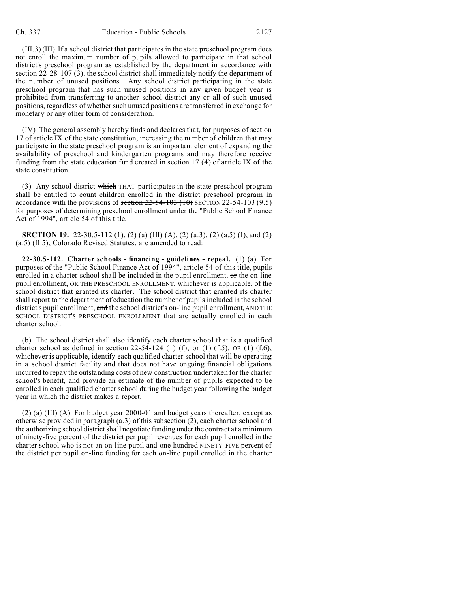$(HH.3)$  (III) If a school district that participates in the state preschool program does not enroll the maximum number of pupils allowed to participate in that school district's preschool program as established by the department in accordance with section  $2\overline{2}$ -28-107 (3), the school district shall immediately notify the department of the number of unused positions. Any school district participating in the state preschool program that has such unused positions in any given budget year is prohibited from transferring to another school district any or all of such unused positions, regardless of whether such unused positions are transferred in exchange for monetary or any other form of consideration.

(IV) The general assembly hereby finds and declares that, for purposes of section 17 of article IX of the state constitution, increasing the number of children that may participate in the state preschool program is an important element of expanding the availability of preschool and kindergarten programs and may therefore receive funding from the state education fund created in section 17 (4) of article IX of the state constitution.

(3) Any school district which THAT participates in the state preschool program shall be entitled to count children enrolled in the district preschool program in accordance with the provisions of section  $22-54-103$  (10) SECTION 22-54-103 (9.5) for purposes of determining preschool enrollment under the "Public School Finance Act of 1994", article 54 of this title.

**SECTION 19.** 22-30.5-112 (1), (2) (a) (III) (A), (2) (a.3), (2) (a.5) (I), and (2) (a.5) (II.5), Colorado Revised Statutes, are amended to read:

**22-30.5-112. Charter schools - financing - guidelines - repeal.** (1) (a) For purposes of the "Public School Finance Act of 1994", article 54 of this title, pupils enrolled in a charter school shall be included in the pupil enrollment, or the on-line pupil enrollment, OR THE PRESCHOOL ENROLLMENT, whichever is applicable, of the school district that granted its charter. The school district that granted its charter shall report to the department of education the number of pupils included in the school district's pupil enrollment, and the school district's on-line pupil enrollment, AND THE SCHOOL DISTRICT'S PRESCHOOL ENROLLMENT that are actually enrolled in each charter school.

(b) The school district shall also identify each charter school that is a qualified charter school as defined in section 22-54-124 (1) (f),  $\sigma$ r (1) (f.5), OR (1) (f.6), whichever is applicable, identify each qualified charter school that will be operating in a school district facility and that does not have ongoing financial obligations incurred to repay the outstanding costs of new construction undertaken for the charter school's benefit, and provide an estimate of the number of pupils expected to be enrolled in each qualified charter school during the budget year following the budget year in which the district makes a report.

(2) (a) (III) (A) For budget year 2000-01 and budget years thereafter, except as otherwise provided in paragraph (a.3) of this subsection (2), each charter school and the authorizing school district shall negotiate funding under the contract at a minimum of ninety-five percent of the district per pupil revenues for each pupil enrolled in the charter school who is not an on-line pupil and one hundred NINETY-FIVE percent of the district per pupil on-line funding for each on-line pupil enrolled in the charter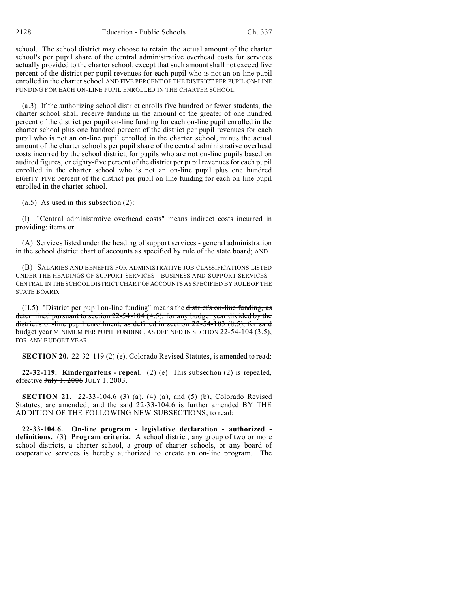school. The school district may choose to retain the actual amount of the charter school's per pupil share of the central administrative overhead costs for services actually provided to the charter school; except that such amount shall not exceed five percent of the district per pupil revenues for each pupil who is not an on-line pupil enrolled in the charter school AND FIVE PERCENT OF THE DISTRICT PER PUPIL ON-LINE FUNDING FOR EACH ON-LINE PUPIL ENROLLED IN THE CHARTER SCHOOL.

(a.3) If the authorizing school district enrolls five hundred or fewer students, the charter school shall receive funding in the amount of the greater of one hundred percent of the district per pupil on-line funding for each on-line pupil enrolled in the charter school plus one hundred percent of the district per pupil revenues for each pupil who is not an on-line pupil enrolled in the charter school, minus the actual amount of the charter school's per pupil share of the central administrative overhead costs incurred by the school district, for pupils who are not on-line pupils based on audited figures, or eighty-five percent of the district per pupil revenues for each pupil enrolled in the charter school who is not an on-line pupil plus one hundred EIGHTY-FIVE percent of the district per pupil on-line funding for each on-line pupil enrolled in the charter school.

(a.5) As used in this subsection (2):

(I) "Central administrative overhead costs" means indirect costs incurred in providing: items or

(A) Services listed under the heading of support services - general administration in the school district chart of accounts as specified by rule of the state board; AND

(B) SALARIES AND BENEFITS FOR ADMINISTRATIVE JOB CLASSIFICATIONS LISTED UNDER THE HEADINGS OF SUPPORT SERVICES - BUSINESS AND SUPPORT SERVICES - CENTRAL IN THE SCHOOL DISTRICT CHART OF ACCOUNTS AS SPECIFIED BY RULE OF THE STATE BOARD.

(II.5) "District per pupil on-line funding" means the district's on-line funding, as determined pursuant to section 22-54-104 (4.5), for any budget year divided by the district's on-line pupil enrollment, as defined in section 22-54-103 (8.5), for said budget year MINIMUM PER PUPIL FUNDING, AS DEFINED IN SECTION 22-54-104 (3.5), FOR ANY BUDGET YEAR.

**SECTION 20.** 22-32-119 (2) (e), Colorado Revised Statutes, is amended to read:

**22-32-119. Kindergartens - repeal.** (2) (e) This subsection (2) is repealed, effective July 1, 2006 JULY 1, 2003.

**SECTION 21.** 22-33-104.6 (3) (a), (4) (a), and (5) (b), Colorado Revised Statutes, are amended, and the said 22-33-104.6 is further amended BY THE ADDITION OF THE FOLLOWING NEW SUBSECTIONS, to read:

**22-33-104.6. On-line program - legislative declaration - authorized definitions.** (3) **Program criteria.** A school district, any group of two or more school districts, a charter school, a group of charter schools, or any board of cooperative services is hereby authorized to create an on-line program. The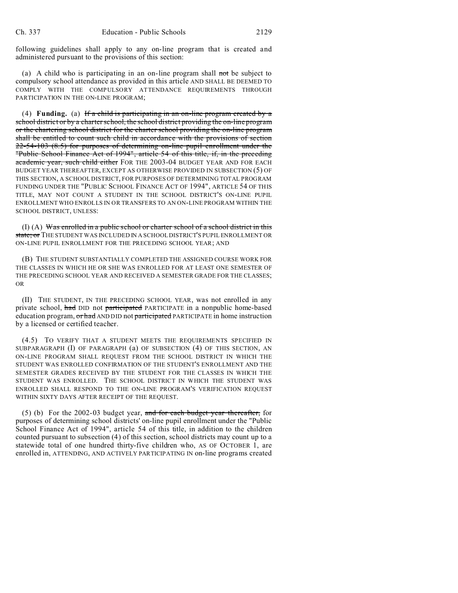following guidelines shall apply to any on-line program that is created and administered pursuant to the provisions of this section:

(a) A child who is participating in an on-line program shall not be subject to compulsory school attendance as provided in this article AND SHALL BE DEEMED TO COMPLY WITH THE COMPULSORY ATTENDANCE REQUIREMENTS THROUGH PARTICIPATION IN THE ON-LINE PROGRAM;

(4) **Funding.** (a) If a child is participating in an on-line program created by a school district or by a charter school, the school district providing the on-line program or the chartering school district for the charter school providing the on-line program shall be entitled to count such child in accordance with the provisions of section 22-54-103 (8.5) for purposes of determining on-line pupil enrollment under the "Public School Finance Act of 1994", article 54 of this title, if, in the preceding academic year, such child either FOR THE 2003-04 BUDGET YEAR AND FOR EACH BUDGET YEAR THEREAFTER, EXCEPT AS OTHERWISE PROVIDED IN SUBSECTION (5) OF THIS SECTION, A SCHOOL DISTRICT, FOR PURPOSES OF DETERMINING TOTAL PROGRAM FUNDING UNDER THE "PUBLIC SCHOOL FINANCE ACT OF 1994", ARTICLE 54 OF THIS TITLE, MAY NOT COUNT A STUDENT IN THE SCHOOL DISTRICT'S ON-LINE PUPIL ENROLLMENT WHO ENROLLS IN OR TRANSFERS TO AN ON-LINE PROGRAM WITHIN THE SCHOOL DISTRICT, UNLESS:

(I) (A) Was enrolled in a public school or charter school of a school district in this state; or THE STUDENT WAS INCLUDED IN A SCHOOL DISTRICT'S PUPIL ENROLLMENT OR ON-LINE PUPIL ENROLLMENT FOR THE PRECEDING SCHOOL YEAR; AND

(B) THE STUDENT SUBSTANTIALLY COMPLETED THE ASSIGNED COURSE WORK FOR THE CLASSES IN WHICH HE OR SHE WAS ENROLLED FOR AT LEAST ONE SEMESTER OF THE PRECEDING SCHOOL YEAR AND RECEIVED A SEMESTER GRADE FOR THE CLASSES; OR

(II) THE STUDENT, IN THE PRECEDING SCHOOL YEAR, was not enrolled in any private school, had DID not participated PARTICIPATE in a nonpublic home-based education program, or had AND DID not participated PARTICIPATE in home instruction by a licensed or certified teacher.

(4.5) TO VERIFY THAT A STUDENT MEETS THE REQUIREMENTS SPECIFIED IN SUBPARAGRAPH (I) OF PARAGRAPH (a) OF SUBSECTION (4) OF THIS SECTION, AN ON-LINE PROGRAM SHALL REQUEST FROM THE SCHOOL DISTRICT IN WHICH THE STUDENT WAS ENROLLED CONFIRMATION OF THE STUDENT'S ENROLLMENT AND THE SEMESTER GRADES RECEIVED BY THE STUDENT FOR THE CLASSES IN WHICH THE STUDENT WAS ENROLLED. THE SCHOOL DISTRICT IN WHICH THE STUDENT WAS ENROLLED SHALL RESPOND TO THE ON-LINE PROGRAM'S VERIFICATION REQUEST WITHIN SIXTY DAYS AFTER RECEIPT OF THE REQUEST.

 $(5)$  (b) For the 2002-03 budget year, and for each budget year thereafter, for purposes of determining school districts' on-line pupil enrollment under the "Public School Finance Act of 1994", article 54 of this title, in addition to the children counted pursuant to subsection (4) of this section, school districts may count up to a statewide total of one hundred thirty-five children who, AS OF OCTOBER 1, are enrolled in, ATTENDING, AND ACTIVELY PARTICIPATING IN on-line programs created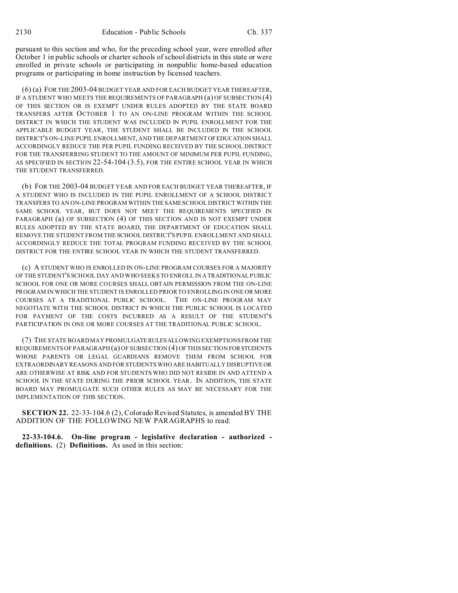pursuant to this section and who, for the preceding school year, were enrolled after October 1 in public schools or charter schools of school districts in this state or were enrolled in private schools or participating in nonpublic home-based education programs or participating in home instruction by licensed teachers.

(6) (a) FOR THE 2003-04 BUDGET YEAR AND FOR EACH BUDGET YEAR THEREAFTER, IF A STUDENT WHO MEETS THE REQUIREMENTS OF PARAGRAPH (a) OF SUBSECTION (4) OF THIS SECTION OR IS EXEMPT UNDER RULES ADOPTED BY THE STATE BOARD TRANSFERS AFTER OCTOBER 1 TO AN ON-LINE PROGRAM WITHIN THE SCHOOL DISTRICT IN WHICH THE STUDENT WAS INCLUDED IN PUPIL ENROLLMENT FOR THE APPLICABLE BUDGET YEAR, THE STUDENT SHALL BE INCLUDED IN THE SCHOOL DISTRICT'S ON-LINE PUPIL ENROLLMENT, AND THE DEPARTMENTOFEDUCATION SHALL ACCORDINGLY REDUCE THE PER PUPIL FUNDING RECEIVED BY THE SCHOOL DISTRICT FOR THE TRANSFERRING STUDENT TO THE AMOUNT OF MINIMUM PER PUPIL FUNDING, AS SPECIFIED IN SECTION 22-54-104 (3.5), FOR THE ENTIRE SCHOOL YEAR IN WHICH THE STUDENT TRANSFERRED.

(b) FOR THE 2003-04 BUDGET YEAR AND FOR EACH BUDGET YEAR THEREAFTER, IF A STUDENT WHO IS INCLUDED IN THE PUPIL ENROLLMENT OF A SCHOOL DISTRICT TRANSFERS TO AN ON-LINE PROGRAM WITHIN THE SAME SCHOOL DISTRICT WITHIN THE SAME SCHOOL YEAR, BUT DOES NOT MEET THE REQUIREMENTS SPECIFIED IN PARAGRAPH (a) OF SUBSECTION (4) OF THIS SECTION AND IS NOT EXEMPT UNDER RULES ADOPTED BY THE STATE BOARD, THE DEPARTMENT OF EDUCATION SHALL REMOVE THE STUDENT FROM THE SCHOOL DISTRICT'S PUPIL ENROLLMENT AND SHALL ACCORDINGLY REDUCE THE TOTAL PROGRAM FUNDING RECEIVED BY THE SCHOOL DISTRICT FOR THE ENTIRE SCHOOL YEAR IN WHICH THE STUDENT TRANSFERRED.

(c) A STUDENT WHO IS ENROLLED IN ON-LINE PROGRAM COURSES FOR A MAJORITY OF THE STUDENT'S SCHOOL DAY AND WHO SEEKS TO ENROLL IN A TRADITIONAL PUBLIC SCHOOL FOR ONE OR MORE COURSES SHALL OBTAIN PERMISSION FROM THE ON-LINE PROGRAM IN WHICH THE STUDENT IS ENROLLED PRIOR TO ENROLLING IN ONE OR MORE COURSES AT A TRADITIONAL PUBLIC SCHOOL. THE ON-LINE PROGRAM MAY NEGOTIATE WITH THE SCHOOL DISTRICT IN WHICH THE PUBLIC SCHOOL IS LOCATED FOR PAYMENT OF THE COSTS INCURRED AS A RESULT OF THE STUDENT'S PARTICIPATION IN ONE OR MORE COURSES AT THE TRADITIONAL PUBLIC SCHOOL.

(7) THE STATE BOARD MAY PROMULGATERULESALLOWING EXEMPTIONS FROM THE REQUIREMENTS OF PARAGRAPH (a) OF SUBSECTION (4) OF THIS SECTION FORSTUDENTS WHOSE PARENTS OR LEGAL GUARDIANS REMOVE THEM FROM SCHOOL FOR EXTRAORDINARY REASONS AND FOR STUDENTS WHO ARE HABITUALLY DISRUPTIVE OR ARE OTHERWISE AT RISK AND FOR STUDENTS WHO DID NOT RESIDE IN AND ATTEND A SCHOOL IN THE STATE DURING THE PRIOR SCHOOL YEAR. IN ADDITION, THE STATE BOARD MAY PROMULGATE SUCH OTHER RULES AS MAY BE NECESSARY FOR THE IMPLEMENTATION OF THIS SECTION.

**SECTION 22.** 22-33-104.6 (2), Colorado Revised Statutes, is amended BY THE ADDITION OF THE FOLLOWING NEW PARAGRAPHS to read:

**22-33-104.6. On-line program - legislative declaration - authorized definitions.** (2) **Definitions.** As used in this section: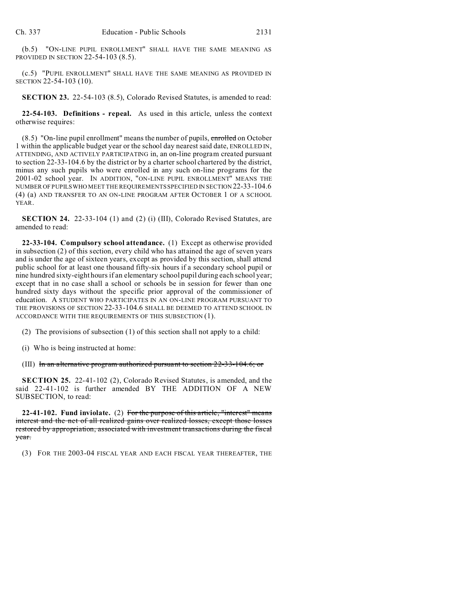(b.5) "ON-LINE PUPIL ENROLLMENT" SHALL HAVE THE SAME MEANING AS PROVIDED IN SECTION 22-54-103 (8.5).

(c.5) "PUPIL ENROLLMENT" SHALL HAVE THE SAME MEANING AS PROVIDED IN SECTION 22-54-103 (10).

**SECTION 23.** 22-54-103 (8.5), Colorado Revised Statutes, is amended to read:

**22-54-103. Definitions - repeal.** As used in this article, unless the context otherwise requires:

 $(8.5)$  "On-line pupil enrollment" means the number of pupils, enrolled on October 1 within the applicable budget year or the school day nearest said date, ENROLLED IN, ATTENDING, AND ACTIVELY PARTICIPATING in, an on-line program created pursuant to section 22-33-104.6 by the district or by a charter school chartered by the district, minus any such pupils who were enrolled in any such on-line programs for the 2001-02 school year. IN ADDITION, "ON-LINE PUPIL ENROLLMENT" MEANS THE NUMBER OF PUPILSWHO MEET THE REQUIREMENTS SPECIFIED IN SECTION 22-33-104.6 (4) (a) AND TRANSFER TO AN ON-LINE PROGRAM AFTER OCTOBER 1 OF A SCHOOL YEAR.

**SECTION 24.** 22-33-104 (1) and (2) (i) (III), Colorado Revised Statutes, are amended to read:

**22-33-104. Compulsory school attendance.** (1) Except as otherwise provided in subsection (2) of this section, every child who has attained the age of seven years and is under the age of sixteen years, except as provided by this section, shall attend public school for at least one thousand fifty-six hours if a secondary school pupil or nine hundred sixty-eight hours if an elementary school pupil during each school year; except that in no case shall a school or schools be in session for fewer than one hundred sixty days without the specific prior approval of the commissioner of education. A STUDENT WHO PARTICIPATES IN AN ON-LINE PROGRAM PURSUANT TO THE PROVISIONS OF SECTION 22-33-104.6 SHALL BE DEEMED TO ATTEND SCHOOL IN ACCORDANCE WITH THE REQUIREMENTS OF THIS SUBSECTION (1).

(2) The provisions of subsection (1) of this section shall not apply to a child:

(i) Who is being instructed at home:

(III) In an alternative program authorized pursuant to section  $22-33-104.6$ ; or

**SECTION 25.** 22-41-102 (2), Colorado Revised Statutes, is amended, and the said 22-41-102 is further amended BY THE ADDITION OF A NEW SUBSECTION, to read:

**22-41-102. Fund inviolate.** (2) For the purpose of this article, "interest" means interest and the net of all realized gains over realized losses, except those losses restored by appropriation, associated with investment transactions during the fiscal year.

(3) FOR THE 2003-04 FISCAL YEAR AND EACH FISCAL YEAR THEREAFTER, THE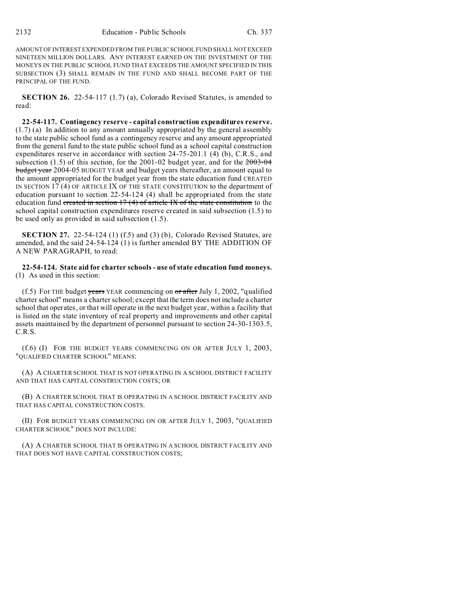AMOUNT OF INTEREST EXPENDED FROM THE PUBLIC SCHOOL FUND SHALL NOT EXCEED NINETEEN MILLION DOLLARS. ANY INTEREST EARNED ON THE INVESTMENT OF THE MONEYS IN THE PUBLIC SCHOOL FUND THAT EXCEEDS THE AMOUNT SPECIFIED IN THIS SUBSECTION (3) SHALL REMAIN IN THE FUND AND SHALL BECOME PART OF THE PRINCIPAL OF THE FUND.

**SECTION 26.** 22-54-117 (1.7) (a), Colorado Revised Statutes, is amended to read:

**22-54-117. Contingency reserve - capital construction expenditures reserve.** (1.7) (a) In addition to any amount annually appropriated by the general assembly to the state public school fund as a contingency reserve and any amount appropriated from the general fund to the state public school fund as a school capital construction expenditures reserve in accordance with section 24-75-201.1 (4) (b), C.R.S., and subsection (1.5) of this section, for the 2001-02 budget year, and for the  $2003-04$ budget year 2004-05 BUDGET YEAR and budget years thereafter, an amount equal to the amount appropriated for the budget year from the state education fund CREATED IN SECTION 17 (4) OF ARTICLE IX OF THE STATE CONSTITUTION to the department of education pursuant to section 22-54-124 (4) shall be appropriated from the state education fund created in section  $17(4)$  of article IX of the state constitution to the school capital construction expenditures reserve created in said subsection (1.5) to be used only as provided in said subsection (1.5).

**SECTION 27.** 22-54-124 (1) (f.5) and (3) (b), Colorado Revised Statutes, are amended, and the said 24-54-124 (1) is further amended BY THE ADDITION OF A NEW PARAGRAPH, to read:

**22-54-124. State aid for charter schools - use of state education fund moneys.** (1) As used in this section:

(f.5) For THE budget years YEAR commencing on  $\sigma$  after July 1, 2002, "qualified charter school" means a charter school; except that the term does not include a charter school that operates, or that will operate in the next budget year, within a facility that is listed on the state inventory of real property and improvements and other capital assets maintained by the department of personnel pursuant to section 24-30-1303.5, C.R.S.

(f.6) (I) FOR THE BUDGET YEARS COMMENCING ON OR AFTER JULY 1, 2003, "QUALIFIED CHARTER SCHOOL" MEANS:

(A) A CHARTER SCHOOL THAT IS NOT OPERATING IN A SCHOOL DISTRICT FACILITY AND THAT HAS CAPITAL CONSTRUCTION COSTS; OR

(B) A CHARTER SCHOOL THAT IS OPERATING IN A SCHOOL DISTRICT FACILITY AND THAT HAS CAPITAL CONSTRUCTION COSTS.

(II) FOR BUDGET YEARS COMMENCING ON OR AFTER JULY 1, 2003, "QUALIFIED CHARTER SCHOOL" DOES NOT INCLUDE:

(A) A CHARTER SCHOOL THAT IS OPERATING IN A SCHOOL DISTRICT FACILITY AND THAT DOES NOT HAVE CAPITAL CONSTRUCTION COSTS;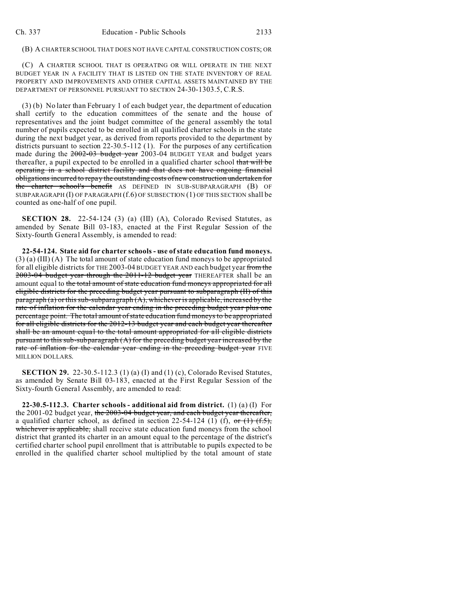## (B) A CHARTER SCHOOL THAT DOES NOT HAVE CAPITAL CONSTRUCTION COSTS; OR

(C) A CHARTER SCHOOL THAT IS OPERATING OR WILL OPERATE IN THE NEXT BUDGET YEAR IN A FACILITY THAT IS LISTED ON THE STATE INVENTORY OF REAL PROPERTY AND IMPROVEMENTS AND OTHER CAPITAL ASSETS MAINTAINED BY THE DEPARTMENT OF PERSONNEL PURSUANT TO SECTION 24-30-1303.5, C.R.S.

(3) (b) No later than February 1 of each budget year, the department of education shall certify to the education committees of the senate and the house of representatives and the joint budget committee of the general assembly the total number of pupils expected to be enrolled in all qualified charter schools in the state during the next budget year, as derived from reports provided to the department by districts pursuant to section 22-30.5-112 (1). For the purposes of any certification made during the 2002-03 budget year 2003-04 BUDGET YEAR and budget years thereafter, a pupil expected to be enrolled in a qualified charter school that will be operating in a school district facility and that does not have ongoing financial obligations incurred to repay the outstanding costs of new construction undertaken for the charter school's benefit AS DEFINED IN SUB-SUBPARAGRAPH (B) OF SUBPARAGRAPH (I) OF PARAGRAPH (f.6) OF SUBSECTION (1) OF THIS SECTION shall be counted as one-half of one pupil.

**SECTION 28.** 22-54-124 (3) (a) (III) (A), Colorado Revised Statutes, as amended by Senate Bill 03-183, enacted at the First Regular Session of the Sixty-fourth General Assembly, is amended to read:

**22-54-124. State aid for charter schools - use of state education fund moneys.** (3) (a) (III) (A) The total amount of state education fund moneys to be appropriated for all eligible districts for THE 2003-04 BUDGET YEAR AND each budget year from the 2003-04 budget year through the 2011-12 budget year THEREAFTER shall be an amount equal to the total amount of state education fund moneys appropriated for all eligible districts for the preceding budget year pursuant to subparagraph (II) of this  $\frac{p}{p}$  paragraph (a) or this sub-subparagraph (A), whichever is applicable, increased by the rate of inflation for the calendar year ending in the preceding budget year plus one percentage point. The total amount of state education fund moneys to be appropriated for all eligible districts for the 2012-13 budget year and each budget year thereafter shall be an amount equal to the total amount appropriated for all eligible districts pursuant to this sub-subparagraph (A) for the preceding budget year increased by the rate of inflation for the calendar year ending in the preceding budget year FIVE MILLION DOLLARS.

**SECTION 29.** 22-30.5-112.3 (1) (a) (I) and (1) (c), Colorado Revised Statutes, as amended by Senate Bill 03-183, enacted at the First Regular Session of the Sixty-fourth General Assembly, are amended to read:

**22-30.5-112.3. Charter schools - additional aid from district.** (1) (a) (I) For the 2001-02 budget year, the  $2003-04$  budget year, and each budget year thereafter, a qualified charter school, as defined in section 22-54-124 (1) (f), or  $(1)$   $(f, 5)$ , whichever is applicable, shall receive state education fund moneys from the school district that granted its charter in an amount equal to the percentage of the district's certified charter school pupil enrollment that is attributable to pupils expected to be enrolled in the qualified charter school multiplied by the total amount of state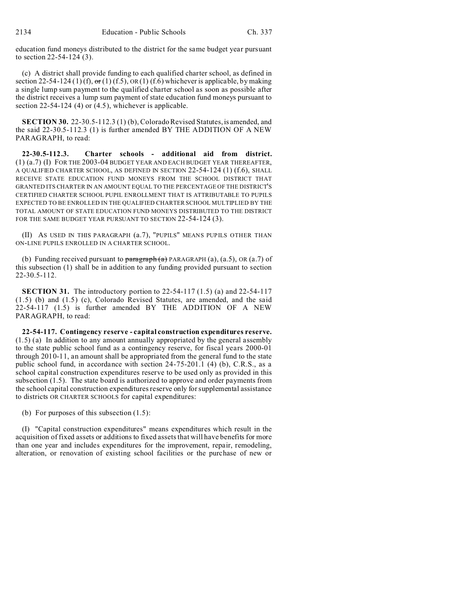education fund moneys distributed to the district for the same budget year pursuant to section 22-54-124 (3).

(c) A district shall provide funding to each qualified charter school, as defined in section 22-54-124 (1) (f),  $\sigma$ r(1) (f.5), OR(1) (f.6) whichever is applicable, by making a single lump sum payment to the qualified charter school as soon as possible after the district receives a lump sum payment of state education fund moneys pursuant to section 22-54-124 (4) or (4.5), whichever is applicable.

**SECTION 30.** 22-30.5-112.3 (1) (b), Colorado Revised Statutes, is amended, and the said 22-30.5-112.3 (1) is further amended BY THE ADDITION OF A NEW PARAGRAPH, to read:

**22-30.5-112.3. Charter schools - additional aid from district.** (1) (a.7) (I) FOR THE 2003-04 BUDGET YEAR AND EACH BUDGET YEAR THEREAFTER, A QUALIFIED CHARTER SCHOOL, AS DEFINED IN SECTION 22-54-124 (1) (f.6), SHALL RECEIVE STATE EDUCATION FUND MONEYS FROM THE SCHOOL DISTRICT THAT GRANTED ITS CHARTER IN AN AMOUNT EQUAL TO THE PERCENTAGE OF THE DISTRICT'S CERTIFIED CHARTER SCHOOL PUPIL ENROLLMENT THAT IS ATTRIBUTABLE TO PUPILS EXPECTED TO BE ENROLLED IN THE QUALIFIED CHARTER SCHOOL MULTIPLIED BY THE TOTAL AMOUNT OF STATE EDUCATION FUND MONEYS DISTRIBUTED TO THE DISTRICT FOR THE SAME BUDGET YEAR PURSUANT TO SECTION 22-54-124 (3).

(II) AS USED IN THIS PARAGRAPH (a.7), "PUPILS" MEANS PUPILS OTHER THAN ON-LINE PUPILS ENROLLED IN A CHARTER SCHOOL.

(b) Funding received pursuant to  $\frac{\partial}{\partial x}$  PARAGRAPH (a), (a.5), OR (a.7) of this subsection (1) shall be in addition to any funding provided pursuant to section 22-30.5-112.

**SECTION 31.** The introductory portion to 22-54-117 (1.5) (a) and 22-54-117 (1.5) (b) and (1.5) (c), Colorado Revised Statutes, are amended, and the said 22-54-117 (1.5) is further amended BY THE ADDITION OF A NEW PARAGRAPH, to read:

**22-54-117. Contingency reserve - capital construction expenditures reserve.** (1.5) (a) In addition to any amount annually appropriated by the general assembly to the state public school fund as a contingency reserve, for fiscal years 2000-01 through 2010-11, an amount shall be appropriated from the general fund to the state public school fund, in accordance with section 24-75-201.1 (4) (b), C.R.S., as a school capital construction expenditures reserve to be used only as provided in this subsection (1.5). The state board is authorized to approve and order payments from the school capital construction expenditures reserve only for supplemental assistance to districts OR CHARTER SCHOOLS for capital expenditures:

(b) For purposes of this subsection (1.5):

(I) "Capital construction expenditures" means expenditures which result in the acquisition of fixed assets or additions to fixed assets that will have benefits for more than one year and includes expenditures for the improvement, repair, remodeling, alteration, or renovation of existing school facilities or the purchase of new or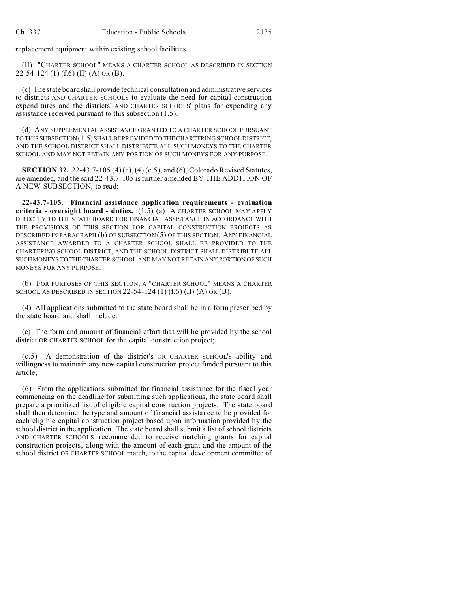replacement equipment within existing school facilities.

(II) "CHARTER SCHOOL" MEANS A CHARTER SCHOOL AS DESCRIBED IN SECTION 22-54-124 (1) (f.6) (II) (A) OR (B).

(c) The state board shall provide technical consultation and administrative services to districts AND CHARTER SCHOOLS to evaluate the need for capital construction expenditures and the districts' AND CHARTER SCHOOLS' plans for expending any assistance received pursuant to this subsection (1.5).

(d) ANY SUPPLEMENTAL ASSISTANCE GRANTED TO A CHARTER SCHOOL PURSUANT TO THIS SUBSECTION (1.5) SHALL BE PROVIDED TO THE CHARTERING SCHOOL DISTRICT, AND THE SCHOOL DISTRICT SHALL DISTRIBUTE ALL SUCH MONEYS TO THE CHARTER SCHOOL AND MAY NOT RETAIN ANY PORTION OF SUCH MONEYS FOR ANY PURPOSE.

**SECTION 32.** 22-43.7-105 (4) (c), (4) (c.5), and (6), Colorado Revised Statutes, are amended, and the said 22-43.7-105 is further amended BY THE ADDITION OF A NEW SUBSECTION, to read:

**22-43.7-105. Financial assistance application requirements - evaluation criteria - oversight board - duties.** (1.5) (a) A CHARTER SCHOOL MAY APPLY DIRECTLY TO THE STATE BOARD FOR FINANCIAL ASSISTANCE IN ACCORDANCE WITH THE PROVISIONS OF THIS SECTION FOR CAPITAL CONSTRUCTION PROJECTS AS DESCRIBED IN PARAGRAPH (b) OF SUBSECTION (5) OF THIS SECTION. ANY FINANCIAL ASSISTANCE AWARDED TO A CHARTER SCHOOL SHALL BE PROVIDED TO THE CHARTERING SCHOOL DISTRICT, AND THE SCHOOL DISTRICT SHALL DISTRIBUTE ALL SUCH MONEYS TO THE CHARTER SCHOOL AND MAY NOT RETAIN ANY PORTION OF SUCH MONEYS FOR ANY PURPOSE.

(b) FOR PURPOSES OF THIS SECTION, A "CHARTER SCHOOL" MEANS A CHARTER SCHOOL AS DESCRIBED IN SECTION 22-54-124 (1) (f.6) (II) (A) OR (B).

(4) All applications submitted to the state board shall be in a form prescribed by the state board and shall include:

(c) The form and amount of financial effort that will be provided by the school district OR CHARTER SCHOOL for the capital construction project;

(c.5) A demonstration of the district's OR CHARTER SCHOOL'S ability and willingness to maintain any new capital construction project funded pursuant to this article;

(6) From the applications submitted for financial assistance for the fiscal year commencing on the deadline for submitting such applications, the state board shall prepare a prioritized list of eligible capital construction projects. The state board shall then determine the type and amount of financial assistance to be provided for each eligible capital construction project based upon information provided by the school district in the application. The state board shall submit a list of school districts AND CHARTER SCHOOLS recommended to receive matching grants for capital construction projects, along with the amount of each grant and the amount of the school district OR CHARTER SCHOOL match, to the capital development committee of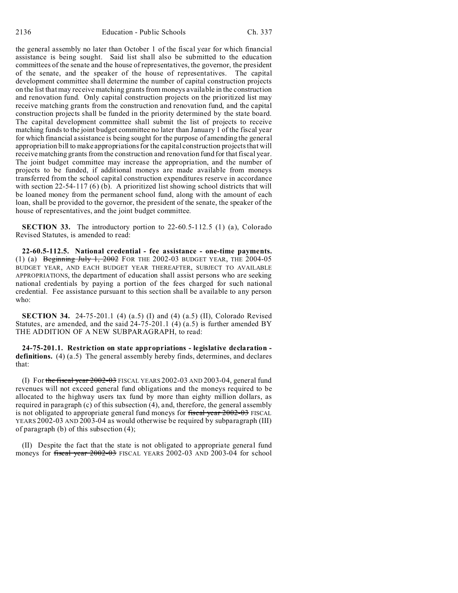the general assembly no later than October 1 of the fiscal year for which financial assistance is being sought. Said list shall also be submitted to the education committees of the senate and the house of representatives, the governor, the president of the senate, and the speaker of the house of representatives. The capital development committee shall determine the number of capital construction projects on the list that may receive matching grants from moneys available in the construction and renovation fund. Only capital construction projects on the prioritized list may receive matching grants from the construction and renovation fund, and the capital construction projects shall be funded in the priority determined by the state board. The capital development committee shall submit the list of projects to receive matching funds to the joint budget committee no later than January 1 of the fiscal year for which financial assistance is being sought for the purpose of amending the general appropriation bill to make appropriations for the capital construction projects that will receive matching grants from the construction and renovation fund for that fiscal year. The joint budget committee may increase the appropriation, and the number of projects to be funded, if additional moneys are made available from moneys transferred from the school capital construction expenditures reserve in accordance with section 22-54-117 (6) (b). A prioritized list showing school districts that will be loaned money from the permanent school fund, along with the amount of each loan, shall be provided to the governor, the president of the senate, the speaker of the house of representatives, and the joint budget committee.

**SECTION 33.** The introductory portion to 22-60.5-112.5 (1) (a), Colorado Revised Statutes, is amended to read:

**22-60.5-112.5. National credential - fee assistance - one-time payments.** (1) (a) Beginning July 1, 2002 FOR THE 2002-03 BUDGET YEAR, THE 2004-05 BUDGET YEAR, AND EACH BUDGET YEAR THEREAFTER, SUBJECT TO AVAILABLE APPROPRIATIONS, the department of education shall assist persons who are seeking national credentials by paying a portion of the fees charged for such national credential. Fee assistance pursuant to this section shall be available to any person who:

**SECTION 34.** 24-75-201.1 (4) (a.5) (I) and (4) (a.5) (II), Colorado Revised Statutes, are amended, and the said  $24-75-201.1$  (4) (a.5) is further amended BY THE ADDITION OF A NEW SUBPARAGRAPH, to read:

**24-75-201.1. Restriction on state appropriations - legislative declaration definitions.** (4) (a.5) The general assembly hereby finds, determines, and declares that:

(I) For the fiscal year 2002-03 FISCAL YEARS 2002-03 AND 2003-04, general fund revenues will not exceed general fund obligations and the moneys required to be allocated to the highway users tax fund by more than eighty million dollars, as required in paragraph (c) of this subsection (4), and, therefore, the general assembly is not obligated to appropriate general fund moneys for fiscal year 2002-03 FISCAL YEARS 2002-03 AND 2003-04 as would otherwise be required by subparagraph (III) of paragraph (b) of this subsection (4);

(II) Despite the fact that the state is not obligated to appropriate general fund moneys for fiscal year 2002-03 FISCAL YEARS 2002-03 AND 2003-04 for school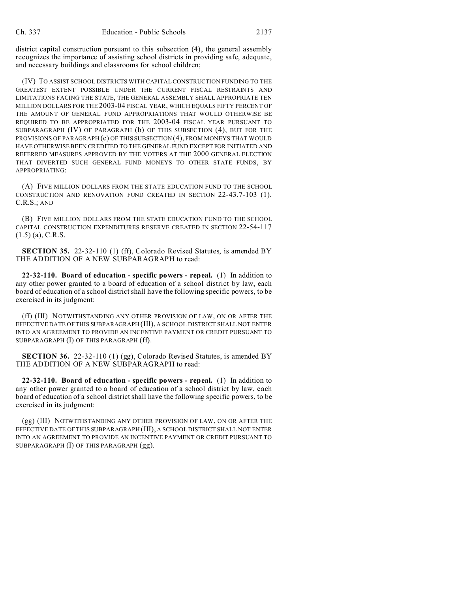district capital construction pursuant to this subsection (4), the general assembly recognizes the importance of assisting school districts in providing safe, adequate, and necessary buildings and classrooms for school children;

(IV) TO ASSIST SCHOOL DISTRICTS WITH CAPITAL CONSTRUCTION FUNDING TO THE GREATEST EXTENT POSSIBLE UNDER THE CURRENT FISCAL RESTRAINTS AND LIMITATIONS FACING THE STATE, THE GENERAL ASSEMBLY SHALL APPROPRIATE TEN MILLION DOLLARS FOR THE 2003-04 FISCAL YEAR, WHICH EQUALS FIFTY PERCENT OF THE AMOUNT OF GENERAL FUND APPROPRIATIONS THAT WOULD OTHERWISE BE REQUIRED TO BE APPROPRIATED FOR THE 2003-04 FISCAL YEAR PURSUANT TO SUBPARAGRAPH (IV) OF PARAGRAPH (b) OF THIS SUBSECTION (4), BUT FOR THE PROVISIONS OF PARAGRAPH (c) OF THIS SUBSECTION (4), FROM MONEYS THAT WOULD HAVE OTHERWISE BEEN CREDITED TO THE GENERAL FUND EXCEPT FOR INITIATED AND REFERRED MEASURES APPROVED BY THE VOTERS AT THE 2000 GENERAL ELECTION THAT DIVERTED SUCH GENERAL FUND MONEYS TO OTHER STATE FUNDS, BY APPROPRIATING:

(A) FIVE MILLION DOLLARS FROM THE STATE EDUCATION FUND TO THE SCHOOL CONSTRUCTION AND RENOVATION FUND CREATED IN SECTION 22-43.7-103 (1), C.R.S.; AND

(B) FIVE MILLION DOLLARS FROM THE STATE EDUCATION FUND TO THE SCHOOL CAPITAL CONSTRUCTION EXPENDITURES RESERVE CREATED IN SECTION 22-54-117  $(1.5)$  (a), C.R.S.

**SECTION 35.** 22-32-110 (1) (ff), Colorado Revised Statutes, is amended BY THE ADDITION OF A NEW SUBPARAGRAPH to read:

**22-32-110. Board of education - specific powers - repeal.** (1) In addition to any other power granted to a board of education of a school district by law, each board of education of a school district shall have the following specific powers, to be exercised in its judgment:

(ff) (III) NOTWITHSTANDING ANY OTHER PROVISION OF LAW, ON OR AFTER THE EFFECTIVE DATE OF THIS SUBPARAGRAPH (III), A SCHOOL DISTRICT SHALL NOT ENTER INTO AN AGREEMENT TO PROVIDE AN INCENTIVE PAYMENT OR CREDIT PURSUANT TO SUBPARAGRAPH (I) OF THIS PARAGRAPH (ff).

**SECTION 36.** 22-32-110 (1) (gg), Colorado Revised Statutes, is amended BY THE ADDITION OF A NEW SUBPARAGRAPH to read:

**22-32-110. Board of education - specific powers - repeal.** (1) In addition to any other power granted to a board of education of a school district by law, each board of education of a school district shall have the following specific powers, to be exercised in its judgment:

(gg) (III) NOTWITHSTANDING ANY OTHER PROVISION OF LAW, ON OR AFTER THE EFFECTIVE DATE OF THIS SUBPARAGRAPH (III), A SCHOOL DISTRICT SHALL NOT ENTER INTO AN AGREEMENT TO PROVIDE AN INCENTIVE PAYMENT OR CREDIT PURSUANT TO SUBPARAGRAPH (I) OF THIS PARAGRAPH (gg).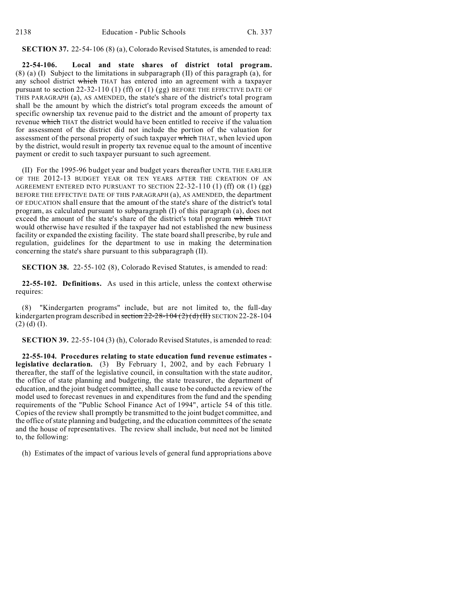#### **SECTION 37.** 22-54-106 (8) (a), Colorado Revised Statutes, is amended to read:

**22-54-106. Local and state shares of district total program.** (8) (a) (I) Subject to the limitations in subparagraph (II) of this paragraph (a), for any school district which THAT has entered into an agreement with a taxpayer pursuant to section 22-32-110 (1) (ff) or (1) (gg) BEFORE THE EFFECTIVE DATE OF THIS PARAGRAPH (a), AS AMENDED, the state's share of the district's total program shall be the amount by which the district's total program exceeds the amount of specific ownership tax revenue paid to the district and the amount of property tax revenue which THAT the district would have been entitled to receive if the valuation for assessment of the district did not include the portion of the valuation for assessment of the personal property of such taxpayer which THAT, when levied upon by the district, would result in property tax revenue equal to the amount of incentive payment or credit to such taxpayer pursuant to such agreement.

(II) For the 1995-96 budget year and budget years thereafter UNTIL THE EARLIER OF THE 2012-13 BUDGET YEAR OR TEN YEARS AFTER THE CREATION OF AN AGREEMENT ENTERED INTO PURSUANT TO SECTION 22-32-110 (1) (ff) OR (1) (gg) BEFORE THE EFFECTIVE DATE OF THIS PARAGRAPH (a), AS AMENDED, the department OF EDUCATION shall ensure that the amount of the state's share of the district's total program, as calculated pursuant to subparagraph (I) of this paragraph (a), does not exceed the amount of the state's share of the district's total program which THAT would otherwise have resulted if the taxpayer had not established the new business facility or expanded the existing facility. The state board shall prescribe, by rule and regulation, guidelines for the department to use in making the determination concerning the state's share pursuant to this subparagraph (II).

**SECTION 38.** 22-55-102 (8), Colorado Revised Statutes, is amended to read:

**22-55-102. Definitions.** As used in this article, unless the context otherwise requires:

(8) "Kindergarten programs" include, but are not limited to, the full-day kindergarten program described in section  $22-28-104$  ( $2$ ) (d) (II) SECTION 22-28-104  $(2)$  (d) (I).

**SECTION 39.** 22-55-104 (3) (h), Colorado Revised Statutes, is amended to read:

**22-55-104. Procedures relating to state education fund revenue estimates legislative declaration.** (3) By February 1, 2002, and by each February 1 thereafter, the staff of the legislative council, in consultation with the state auditor, the office of state planning and budgeting, the state treasurer, the department of education, and the joint budget committee, shall cause to be conducted a review of the model used to forecast revenues in and expenditures from the fund and the spending requirements of the "Public School Finance Act of 1994", article 54 of this title. Copies of the review shall promptly be transmitted to the joint budget committee, and the office of state planning and budgeting, and the education committees of the senate and the house of representatives. The review shall include, but need not be limited to, the following:

(h) Estimates of the impact of various levels of general fund appropriations above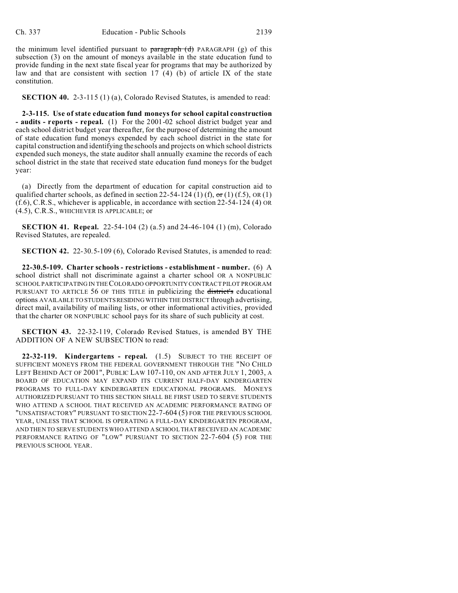the minimum level identified pursuant to  $\frac{\partial f}{\partial x}$  paragraph  $(d)$  PARAGRAPH (g) of this subsection (3) on the amount of moneys available in the state education fund to provide funding in the next state fiscal year for programs that may be authorized by law and that are consistent with section  $17(4)$  (b) of article IX of the state constitution.

**SECTION 40.** 2-3-115 (1) (a), Colorado Revised Statutes, is amended to read:

**2-3-115. Use of state education fund moneys for school capital construction - audits - reports - repeal.** (1) For the 2001-02 school district budget year and each school district budget year thereafter, for the purpose of determining the amount of state education fund moneys expended by each school district in the state for capital construction and identifying the schools and projects on which school districts expended such moneys, the state auditor shall annually examine the records of each school district in the state that received state education fund moneys for the budget year:

(a) Directly from the department of education for capital construction aid to qualified charter schools, as defined in section 22-54-124 (1) (f),  $\sigma$ r (1) (f.5), OR (1) (f.6), C.R.S., whichever is applicable, in accordance with section 22-54-124 (4) OR (4.5), C.R.S., WHICHEVER IS APPLICABLE; or

**SECTION 41. Repeal.** 22-54-104 (2) (a.5) and 24-46-104 (1) (m), Colorado Revised Statutes, are repealed.

**SECTION 42.** 22-30.5-109 (6), Colorado Revised Statutes, is amended to read:

**22-30.5-109. Charter schools - restrictions - establishment - number.** (6) A school district shall not discriminate against a charter school OR A NONPUBLIC SCHOOL PARTICIPATING IN THE COLORADO OPPORTUNITY CONTRACT PILOT PROGRAM PURSUANT TO ARTICLE 56 OF THIS TITLE in publicizing the district's educational options AVAILABLE TO STUDENTS RESIDING WITHIN THE DISTRICT through advertising, direct mail, availability of mailing lists, or other informational activities, provided that the charter OR NONPUBLIC school pays for its share of such publicity at cost.

**SECTION 43.** 22-32-119, Colorado Revised Statues, is amended BY THE ADDITION OF A NEW SUBSECTION to read:

**22-32-119. Kindergartens - repeal.** (1.5) SUBJECT TO THE RECEIPT OF SUFFICIENT MONEYS FROM THE FEDERAL GOVERNMENT THROUGH THE "NO CHILD LEFT BEHIND ACT OF 2001", PUBLIC LAW 107-110, ON AND AFTER JULY 1, 2003, A BOARD OF EDUCATION MAY EXPAND ITS CURRENT HALF-DAY KINDERGARTEN PROGRAMS TO FULL-DAY KINDERGARTEN EDUCATIONAL PROGRAMS. MONEYS AUTHORIZED PURSUANT TO THIS SECTION SHALL BE FIRST USED TO SERVE STUDENTS WHO ATTEND A SCHOOL THAT RECEIVED AN ACADEMIC PERFORMANCE RATING OF "UNSATISFACTORY" PURSUANT TO SECTION 22-7-604 (5) FOR THE PREVIOUS SCHOOL YEAR, UNLESS THAT SCHOOL IS OPERATING A FULL-DAY KINDERGARTEN PROGRAM, AND THEN TO SERVE STUDENTS WHO ATTEND A SCHOOL THAT RECEIVED AN ACADEMIC PERFORMANCE RATING OF "LOW" PURSUANT TO SECTION 22-7-604 (5) FOR THE PREVIOUS SCHOOL YEAR.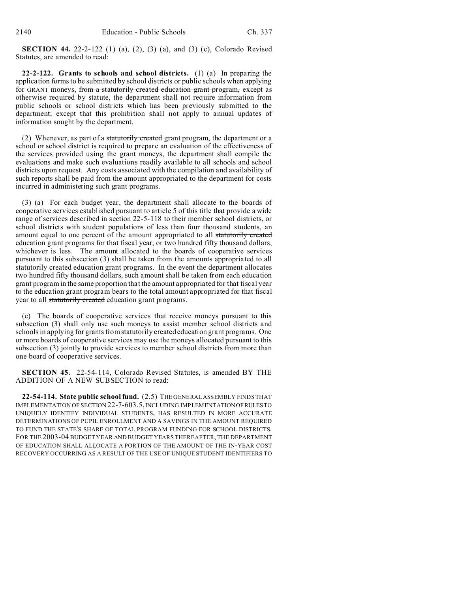**SECTION 44.** 22-2-122 (1) (a), (2), (3) (a), and (3) (c), Colorado Revised Statutes, are amended to read:

**22-2-122. Grants to schools and school districts.** (1) (a) In preparing the application forms to be submitted by school districts or public schools when applying for GRANT moneys, from a statutorily created education grant program, except as otherwise required by statute, the department shall not require information from public schools or school districts which has been previously submitted to the department; except that this prohibition shall not apply to annual updates of information sought by the department.

(2) Whenever, as part of a statutorily created grant program, the department or a school or school district is required to prepare an evaluation of the effectiveness of the services provided using the grant moneys, the department shall compile the evaluations and make such evaluations readily available to all schools and school districts upon request. Any costs associated with the compilation and availability of such reports shall be paid from the amount appropriated to the department for costs incurred in administering such grant programs.

(3) (a) For each budget year, the department shall allocate to the boards of cooperative services established pursuant to article 5 of this title that provide a wide range of services described in section 22-5-118 to their member school districts, or school districts with student populations of less than four thousand students, an amount equal to one percent of the amount appropriated to all statutorily created education grant programs for that fiscal year, or two hundred fifty thousand dollars, whichever is less. The amount allocated to the boards of cooperative services pursuant to this subsection (3) shall be taken from the amounts appropriated to all statutorily created education grant programs. In the event the department allocates two hundred fifty thousand dollars, such amount shall be taken from each education grant program in the same proportion that the amount appropriated for that fiscal year to the education grant program bears to the total amount appropriated for that fiscal year to all statutorily created education grant programs.

(c) The boards of cooperative services that receive moneys pursuant to this subsection (3) shall only use such moneys to assist member school districts and schools in applying for grants from statutorily created education grant programs. One or more boards of cooperative services may use the moneys allocated pursuant to this subsection (3) jointly to provide services to member school districts from more than one board of cooperative services.

**SECTION 45.** 22-54-114, Colorado Revised Statutes, is amended BY THE ADDITION OF A NEW SUBSECTION to read:

**22-54-114. State public school fund.** (2.5) THE GENERAL ASSEMBLY FINDS THAT IMPLEMENTATION OF SECTION 22-7-603.5, INCLUDING IMPLEMENTATIONOFRULESTO UNIQUELY IDENTIFY INDIVIDUAL STUDENTS, HAS RESULTED IN MORE ACCURATE DETERMINATIONS OF PUPIL ENROLLMENT AND A SAVINGS IN THE AMOUNT REQUIRED TO FUND THE STATE'S SHARE OF TOTAL PROGRAM FUNDING FOR SCHOOL DISTRICTS. FOR THE 2003-04 BUDGET YEAR AND BUDGET YEARS THEREAFTER, THE DEPARTMENT OF EDUCATION SHALL ALLOCATE A PORTION OF THE AMOUNT OF THE IN-YEAR COST RECOVERY OCCURRING AS A RESULT OF THE USE OF UNIQUE STUDENT IDENTIFIERS TO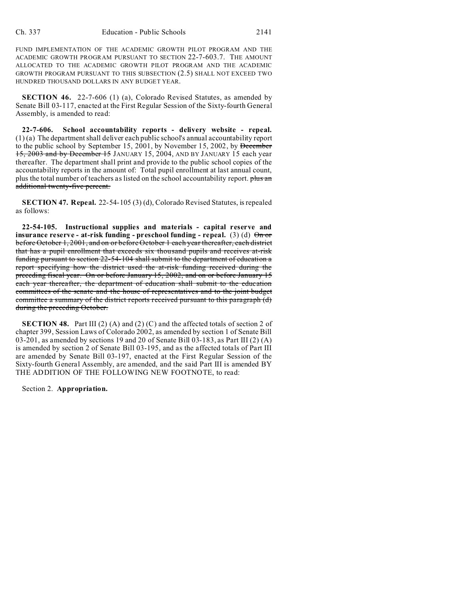FUND IMPLEMENTATION OF THE ACADEMIC GROWTH PILOT PROGRAM AND THE ACADEMIC GROWTH PROGRAM PURSUANT TO SECTION 22-7-603.7. THE AMOUNT ALLOCATED TO THE ACADEMIC GROWTH PILOT PROGRAM AND THE ACADEMIC GROWTH PROGRAM PURSUANT TO THIS SUBSECTION (2.5) SHALL NOT EXCEED TWO HUNDRED THOUSAND DOLLARS IN ANY BUDGET YEAR.

**SECTION 46.** 22-7-606 (1) (a), Colorado Revised Statutes, as amended by Senate Bill 03-117, enacted at the First Regular Session of the Sixty-fourth General Assembly, is amended to read:

**22-7-606. School accountability reports - delivery website - repeal.** (1) (a) The department shall deliver each public school's annual accountability report to the public school by September 15, 2001, by November 15, 2002, by December 15, 2003 and by December 15 JANUARY 15, 2004, AND BY JANUARY 15 each year thereafter. The department shall print and provide to the public school copies of the accountability reports in the amount of: Total pupil enrollment at last annual count, plus the total number of teachers as listed on the school accountability report. plus an additional twenty-five percent.

**SECTION 47. Repeal.** 22-54-105 (3) (d), Colorado Revised Statutes, is repealed as follows:

**22-54-105. Instructional supplies and materials - capital reserve and insurance reserve - at-risk funding - preschool funding - repeal.** (3) (d)  $\Theta$ n or before October 1, 2001, and on or before October 1 each year thereafter, each district that has a pupil enrollment that exceeds six thousand pupils and receives at-risk funding pursuant to section 22-54-104 shall submit to the department of education a report specifying how the district used the at-risk funding received during the preceding fiscal year. On or before January 15, 2002, and on or before January 15 each year thereafter, the department of education shall submit to the education committees of the senate and the house of representatives and to the joint budget committee a summary of the district reports received pursuant to this paragraph (d) during the preceding October.

**SECTION 48.** Part III (2) (A) and (2) (C) and the affected totals of section 2 of chapter 399, Session Laws of Colorado 2002, as amended by section 1 of Senate Bill 03-201, as amended by sections 19 and 20 of Senate Bill 03-183, as Part III (2) (A) is amended by section 2 of Senate Bill 03-195, and as the affected totals of Part III are amended by Senate Bill 03-197, enacted at the First Regular Session of the Sixty-fourth General Assembly, are amended, and the said Part III is amended BY THE ADDITION OF THE FOLLOWING NEW FOOTNOTE, to read:

Section 2. **Appropriation.**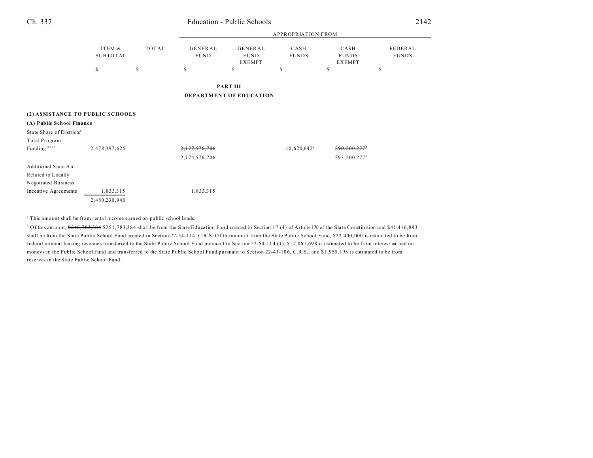# Ch. 337 Education - Public Schools

|                                  |                           |       | <b>APPROPRIATION FROM</b> |                                                |                           |                                       |                         |  |
|----------------------------------|---------------------------|-------|---------------------------|------------------------------------------------|---------------------------|---------------------------------------|-------------------------|--|
|                                  | ITEM &<br><b>SUBTOTAL</b> | TOTAL | GENERAL<br><b>FUND</b>    | <b>GENERAL</b><br><b>FUND</b><br><b>EXEMPT</b> | CASH<br><b>FUNDS</b>      | CASH<br><b>FUNDS</b><br><b>EXEMPT</b> | FEDERAL<br><b>FUNDS</b> |  |
|                                  | $\mathbb S$               | \$    | \$                        | \$                                             | \$                        | \$                                    | \$                      |  |
|                                  |                           |       |                           | PART III                                       |                           |                                       |                         |  |
|                                  |                           |       |                           | <b>DEPARTMENT OF EDUCATION</b>                 |                           |                                       |                         |  |
|                                  |                           |       |                           |                                                |                           |                                       |                         |  |
| (2) ASSISTANCE TO PUBLIC SCHOOLS |                           |       |                           |                                                |                           |                                       |                         |  |
| (A) Public School Finance        |                           |       |                           |                                                |                           |                                       |                         |  |
| State Share of Districts'        |                           |       |                           |                                                |                           |                                       |                         |  |
| Total Program                    |                           |       |                           |                                                |                           |                                       |                         |  |
| Funding <sup>18, 19</sup>        | 2,478,397,625             |       | 2,177,576,706             |                                                | $10,620,642$ <sup>a</sup> | 290,200,277                           |                         |  |
|                                  |                           |       | 2,174,576,706             |                                                |                           | 293,200,277 <sup>b</sup>              |                         |  |
| Additional State Aid             |                           |       |                           |                                                |                           |                                       |                         |  |
| Related to Locally               |                           |       |                           |                                                |                           |                                       |                         |  |
| Negotiated Business              |                           |       |                           |                                                |                           |                                       |                         |  |
| Incentive Agreements             | 1,833,315                 |       | 1,833,315                 |                                                |                           |                                       |                         |  |
|                                  | 2,480,230,940             |       |                           |                                                |                           |                                       |                         |  |

<sup>a</sup> This amount shall be from rental income earned on public school lands.

<sup>b</sup> Of this amount, <del>\$248,783,384</del> \$251,783,384 shall be from the State Education Fund created in Section 17 (4) of Article IX of the State Constitution and \$41,416,893 shall be from the State Public School Fund created in Section 22-54-114, C.R.S. Of the amount from the State Public School Fund, \$22,400,000 is estimated to be from federal mineral leasing revenues transferred to the State Public School Fund pursuant to Section 22-54-114 (1), \$17,061,698 is estimated to be from interest earned on moneys in the Public School Fund and transferred to the State Public School Fund pursuant to Section 22-41-10 6, C.R.S., and \$1 ,955 ,195 is estimated to be from reserves in the State Public School Fund.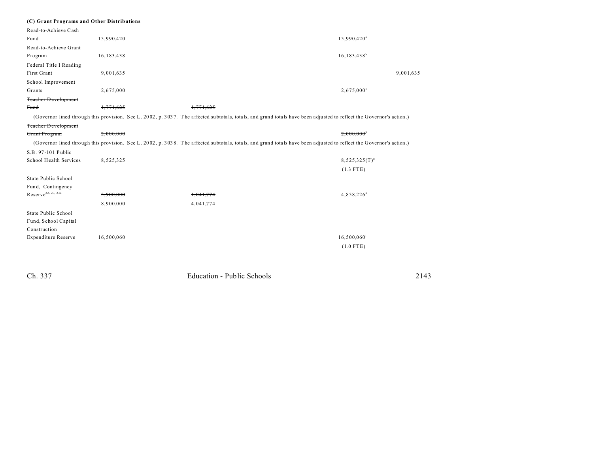|  |  |  | (C) Grant Programs and Other Distributions |
|--|--|--|--------------------------------------------|
|--|--|--|--------------------------------------------|

| Read-to-Achieve Cash       |              |                                                                                                                                                                      |                                                           |
|----------------------------|--------------|----------------------------------------------------------------------------------------------------------------------------------------------------------------------|-----------------------------------------------------------|
| Fund                       | 15,990,420   |                                                                                                                                                                      | 15,990,420 <sup>a</sup>                                   |
| Read-to-Achieve Grant      |              |                                                                                                                                                                      |                                                           |
| Program                    | 16, 183, 438 |                                                                                                                                                                      | $16, 183, 438^b$                                          |
| Federal Title I Reading    |              |                                                                                                                                                                      |                                                           |
| First Grant                | 9,001,635    |                                                                                                                                                                      | 9,001,635                                                 |
| School Improvement         |              |                                                                                                                                                                      |                                                           |
| Grants                     | 2,675,000    |                                                                                                                                                                      | $2,675,000^{\circ}$                                       |
| <b>Teacher Development</b> |              |                                                                                                                                                                      |                                                           |
| Fund                       | 1,771,625    | 1,771,625                                                                                                                                                            |                                                           |
|                            |              | (Governor lined through this provision. See L. 2002, p. 3037. The affected subtotals, totals, and grand totals have been adjusted to reflect the Governor's action.) |                                                           |
| <b>Teacher Development</b> |              |                                                                                                                                                                      |                                                           |
| Grant Program              | 2,000,000    |                                                                                                                                                                      | $2.000.000$ <sup>f</sup>                                  |
|                            |              | (Governor lined through this provision. See L. 2002, p. 3038. The affected subtotals, totals, and grand totals have been adjusted to reflect the Governor's action.) |                                                           |
| S.B. 97-101 Public         |              |                                                                                                                                                                      |                                                           |
| School Health Services     | 8,525,325    |                                                                                                                                                                      | $8,525,325$ $($ T $)$ <sup><math>\frac{8}{7}</math></sup> |
|                            |              |                                                                                                                                                                      | $(1.3$ FTE)                                               |
| State Public School        |              |                                                                                                                                                                      |                                                           |
| Fund, Contingency          |              |                                                                                                                                                                      |                                                           |
| $Reserve^{22, 23, 23a}$    | 5,900,000    | 1,041,774                                                                                                                                                            | $4,858,226^h$                                             |
|                            | 8,900,000    | 4,041,774                                                                                                                                                            |                                                           |
| State Public School        |              |                                                                                                                                                                      |                                                           |
| Fund, School Capital       |              |                                                                                                                                                                      |                                                           |
| Construction               |              |                                                                                                                                                                      |                                                           |
| <b>Expenditure Reserve</b> | 16,500,060   |                                                                                                                                                                      | $16,500,060$ <sup>i</sup>                                 |
|                            |              |                                                                                                                                                                      | $(1.0$ FTE)                                               |
|                            |              |                                                                                                                                                                      |                                                           |

| Ch. 337 | Education - Public Schools | 2143 |
|---------|----------------------------|------|
|         |                            |      |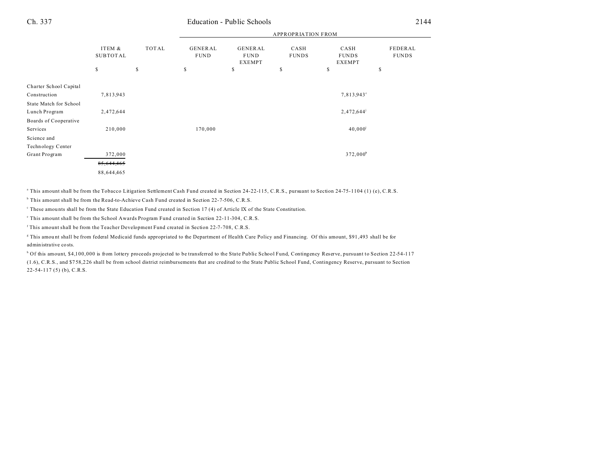#### Ch. 337 Education - Public Schools 2144

|                        |                                 |             |                              | <b>APPROPRIATION FROM</b>                            |                            |                                             |                               |  |
|------------------------|---------------------------------|-------------|------------------------------|------------------------------------------------------|----------------------------|---------------------------------------------|-------------------------------|--|
|                        | ITEM &<br><b>SUBTOTAL</b><br>\$ | TOTAL<br>\$ | GENERAL<br><b>FUND</b><br>\$ | <b>GENERAL</b><br><b>FUND</b><br><b>EXEMPT</b><br>\$ | CASH<br><b>FUNDS</b><br>\$ | CASH<br><b>FUNDS</b><br><b>EXEMPT</b><br>\$ | FEDERAL<br><b>FUNDS</b><br>\$ |  |
|                        |                                 |             |                              |                                                      |                            |                                             |                               |  |
| Charter School Capital |                                 |             |                              |                                                      |                            |                                             |                               |  |
| Construction           | 7,813,943                       |             |                              |                                                      |                            | 7,813,943°                                  |                               |  |
| State Match for School |                                 |             |                              |                                                      |                            |                                             |                               |  |
| Lunch Program          | 2,472,644                       |             |                              |                                                      |                            | $2,472,644^{\circ}$                         |                               |  |
| Boards of Cooperative  |                                 |             |                              |                                                      |                            |                                             |                               |  |
| Services               | 210,000                         |             | 170,000                      |                                                      |                            | $40,000^{\rm j}$                            |                               |  |
| Science and            |                                 |             |                              |                                                      |                            |                                             |                               |  |
| Technology Center      |                                 |             |                              |                                                      |                            |                                             |                               |  |
| Grant Program          | 372,000                         |             |                              |                                                      |                            | 372,000 <sup>t</sup>                        |                               |  |
|                        | 85,644,465                      |             |                              |                                                      |                            |                                             |                               |  |
|                        | 88,644,465                      |             |                              |                                                      |                            |                                             |                               |  |

a This amount shall be from the Tobacco Litigation Settlement Cash Fund created in Section 24-22-115, C.R.S., pursuant to Section 24-75-1104 (1) (e), C.R.S.

<sup>b</sup> This amount shall be from the Read-to-Achieve Cash Fund created in Section 22-7-506, C.R.S.

These amounts shall be from the State Education Fund created in Section 17 (4) of Article IX of the State Constitution.

e This amount shall be from the School Awards Program Fund created in Section 22-11-304, C.R.S.

f This amount shall be from the Teacher Development Fund created in Section 22-7-708, C.R.S.

g This amou nt shall be from federal Medicaid funds appropriated to the Department of Health Care Policy and Financing. Of this amount, \$91 ,493 shall be for administrative costs.

<sup>h</sup> Of this amount, \$4,100,000 is from lottery proceeds projected to be transferred to the State Public School Fund, Contingency Reserve, pursuant to Section 22-54-117 (1.6), C.R.S., and \$7 58,2 26 shall be from school district reimbursements that are credited to the State Public School Fund, Contingency Reserve, pursuant to Section 22-54-117 (5) (b), C.R.S.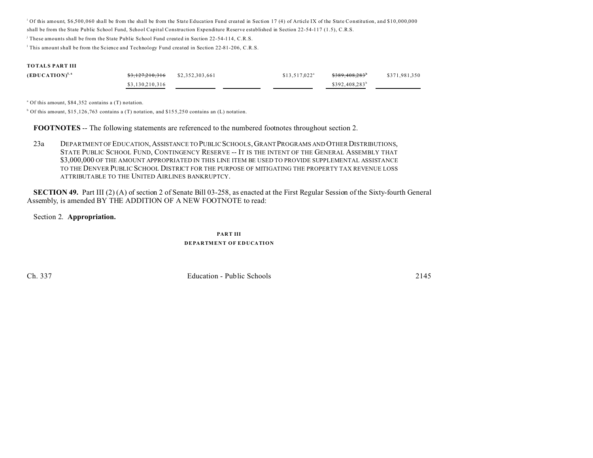i Of this amount, \$6,500,060 shall be from the shall be from the State Education Fund created in Section 17 (4) of Article IX of the State Constitution, and \$10,000,000

shall be from the State Public School Fund, School Capital Construction Expenditure Reserve established in Section 22-54-117 (1.5), C.R.S.

j These amounts shall be from the State Public School Fund created in Section 22-54-114, C.R.S.

l This amount shall be from the Science and Technology Fund created in Section 22-81-206, C.R.S.

#### **TOTALS PART III**

| $(EDUCATION)^{5,6}$ | $$3,127,210,316$ $$2,352,303,661$ | $$13,517,022^{\circ}$ | <del>\$389.408.283</del> | \$371.981.350 |
|---------------------|-----------------------------------|-----------------------|--------------------------|---------------|
|                     | \$3,130,210,316                   |                       | $$392,408,283^b$         |               |

a Of this amount, \$84 ,352 contains a (T) notation.

b Of this amount, \$15 ,126 ,763 contains a (T) notation, and \$15 5,25 0 contains an (L) notation.

**FOOTNOTES** -- The following statements are referenced to the numbered footnotes throughout section 2.

23a DEPARTMENT OF EDUCATION,ASSISTANCE TO PUBLIC SCHOOLS,GRANT PROGRAMS AND OTHER DISTRIBUTIONS, STATE PUBLIC SCHOOL FUND, CONTINGENCY RESERVE -- IT IS THE INTENT OF THE GENERAL ASSEMBLY THAT \$3,000,000 OF THE AMOUNT APPROPRIATED IN THIS LINE ITEM BE USED TO PROVIDE SUPPLEMENTAL ASSISTANCE TO THE DENVER PUBLIC SCHOOL DISTRICT FOR THE PURPOSE OF MITIGATING THE PROPERTY TAX REVENUE LOSS ATTRIBUTABLE TO THE UNITED AIRLINES BANKRUPTCY.

**SECTION 49.** Part III (2) (A) of section 2 of Senate Bill 03-258, as enacted at the First Regular Session of the Sixty-fourth General Assembly, is amended BY THE ADDITION OF A NEW FOOTNOTE to read:

#### Section 2. **Appropriation.**

# **PART III DEPARTMENT OF EDUCATION**

Ch. 337 Education - Public Schools 2145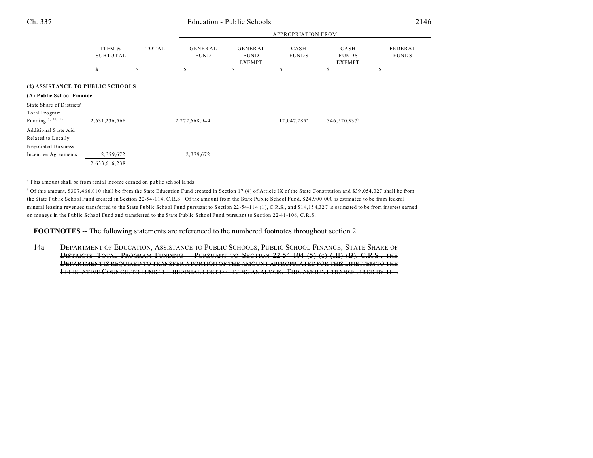# Ch. 337 Education - Public Schools

|                                  |                           |       | <b>APPROPRIATION FROM</b>     |                                                |                         |                                       |                         |  |
|----------------------------------|---------------------------|-------|-------------------------------|------------------------------------------------|-------------------------|---------------------------------------|-------------------------|--|
|                                  | ITEM &<br><b>SUBTOTAL</b> | TOTAL | <b>GENERAL</b><br><b>FUND</b> | <b>GENERAL</b><br><b>FUND</b><br><b>EXEMPT</b> | CASH<br><b>FUNDS</b>    | CASH<br><b>FUNDS</b><br><b>EXEMPT</b> | FEDERAL<br><b>FUNDS</b> |  |
|                                  | S                         | \$    | s                             | \$                                             | \$                      | \$                                    | \$                      |  |
| (2) ASSISTANCE TO PUBLIC SCHOOLS |                           |       |                               |                                                |                         |                                       |                         |  |
| (A) Public School Finance        |                           |       |                               |                                                |                         |                                       |                         |  |
| State Share of Districts'        |                           |       |                               |                                                |                         |                                       |                         |  |
| Total Program                    |                           |       |                               |                                                |                         |                                       |                         |  |
| Funding <sup>13, 14, 14a</sup>   | 2,631,236,566             |       | 2,272,668,944                 |                                                | 12,047,285 <sup>a</sup> | 346,520,337 <sup>b</sup>              |                         |  |
| Additional State Aid             |                           |       |                               |                                                |                         |                                       |                         |  |
| Related to Locally               |                           |       |                               |                                                |                         |                                       |                         |  |
| Negotiated Business              |                           |       |                               |                                                |                         |                                       |                         |  |
| Incentive Agreements             | 2,379,672                 |       | 2,379,672                     |                                                |                         |                                       |                         |  |
|                                  | 2,633,616,238             |       |                               |                                                |                         |                                       |                         |  |

<sup>a</sup> This amount shall be from rental income earned on public school lands.

<sup>b</sup> Of this amount, \$307,466,010 shall be from the State Education Fund created in Section 17 (4) of Article IX of the State Constitution and \$39,054,327 shall be from the State Public School Fund created in Section 22-54-114, C.R.S. Of the amount from the State Public School Fund, \$24,900,000 is estimated to be from federal mineral leasing revenues transferred to the State Public School Fund pursuant to Section 22-54-114 (1), C.R.S., and \$14,154,327 is estimated to be from interest earned on moneys in the Public School Fund and transferred to the State Public School Fund pursuant to Section 22-41-106, C.R.S.

**FOOTNOTES** -- The following statements are referenced to the numbered footnotes throughout section 2.

14a DEPARTMENT OF EDUCATION, ASSISTANCE TO PUBLIC SCHOOLS, PUBLIC SCHOOL FINANCE, STATE SHARE OF DISTRICTS' TOTAL PROGRAM FUNDING PURSUANT TO SECTION 22-54-104-(5) (e) (III) (B), C.R.S., THE DEPARTMENT IS REQUIRED TO TRANSFER A PORTION OF THE AMOUNT APPROPRIATED FOR THIS LINE ITEM TO THE LEGISLATIVE COUNCIL TO FUND THE BIENNIAL COST OF LIVING ANALYSIS. THIS AMOUNT TRANSFERRED BY THE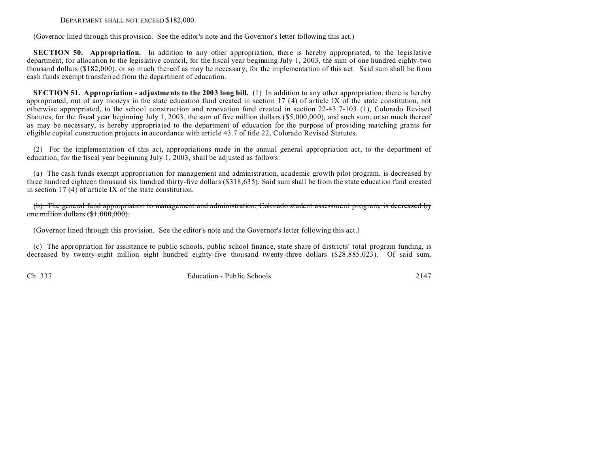#### DEPARTMENT SHALL NOT EXCEED \$182,000.

(Governor lined through this provision. See the editor's note and the Governor's letter following this act.)

**SECTION 50. Appropriation.** In addition to any other appropriation, there is hereby appropriated, to the legislative department, for allocation to the legislative council, for the fiscal year beginning July 1, 2003, the sum of one hundred eighty-two thousand dollars (\$182,000), or so much thereof as may be necessary, for the implementation of this act. Said sum shall be from cash funds exempt transferred from the department of education.

**SECTION 51.** Appropriation - adjustments to the 2003 long bill. (1) In addition to any other appropriation, there is hereby appropriated, out of any moneys in the state education fund created in section 17 (4) of article IX of the state constitution, not otherwise appropriated, to the school construction and renovation fund created in section 22-43.7-103 (1), Colorado Revised Statutes, for the fiscal year beginning July 1, 2003, the sum of five million dollars (\$5,000,000), and such sum, or so much thereof as may be necessary, is hereby appropriated to the department of education for the purpose of providing matching grants for eligible capital construction projects in accordance with article 43.7 of title 22, Colorado Revised Statutes.

(2) For the implementation of this act, appropriations made in the annual general appropriation act, to the department of education, for the fiscal year beginning July 1, 2003, shall be adjusted as follows:

(a) The cash funds exempt appropriation for management and administration, academic growth pilot program, is decreased by three hundred eighteen thousand six hundred thirty-five dollars (\$318,635). Said sum shall be from the state education fund created in section 17 (4) of article IX of the state constitution.

(b) The general fund appropriation to management and administration, Colorado student assessment program, is decreased by one million dollars (\$1,000,000).

(Governor lined through this provision. See the editor's note and the Governor's letter following this act.)

(c) The appropriation for assistance to public schools, public school finance, state share of districts' total program funding, is decreased by twenty-eight million eight hundred eighty-five thousand twenty-three dollars (\$28,885,023). Of said sum,

Ch. 337 Education - Public Schools 2147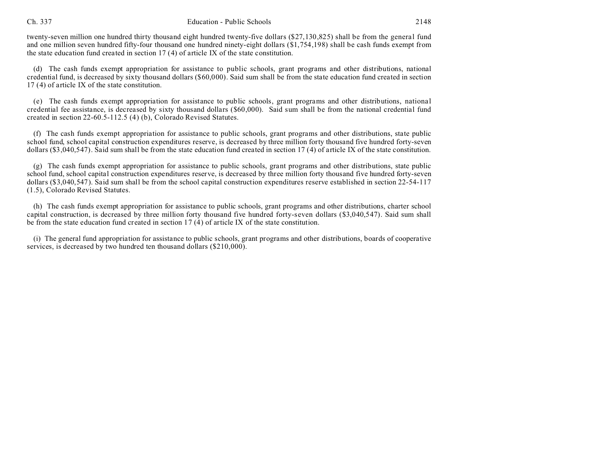#### Ch. 337 Education - Public Schools 2148

twenty-seven million one hundred thirty thousand eight hundred twenty-five dollars (\$27,130,825) shall be from the general fund and one million seven hundred fifty-four thousand one hundred ninety-eight dollars (\$1,754,198) shall be cash funds exempt from the state education fund created in section 17 (4) of article IX of the state constitution.

(d) The cash funds exempt appropriation for assistance to public schools, grant programs and other distributions, national credential fund, is decreased by sixty thousand dollars (\$60,000). Said sum shall be from the state education fund created in section 17 (4) of article IX of the state constitution.

(e) The cash funds exempt appropriation for assistance to public schools, grant programs and other distributions, national credential fee assistance, is decreased by sixty thousand dollars (\$60,000). Said sum shall be from the national credential fund created in section 22-60.5-112.5 (4) (b), Colorado Revised Statutes.

(f) The cash funds exempt appropriation for assistance to public schools, grant programs and other distributions, state public school fund, school capital construction expenditures reserve, is decreased by three million forty thousand five hundred forty-seven dollars (\$3,040,547). Said sum shall be from the state education fund created in section 17 (4) of article IX of the state constitution.

(g) The cash funds exempt appropriation for assistance to public schools, grant programs and other distributions, state public school fund, school capital construction expenditures reserve, is decreased by three million forty thousand five hundred forty-seven dollars (\$3,040,547). Said sum shall be from the school capital construction expenditures reserve established in section 22-54-117 (1.5), Colorado Revised Statutes.

(h) The cash funds exempt appropriation for assistance to public schools, grant programs and other distributions, charter school capital construction, is decreased by three million forty thousand five hundred forty-seven dollars (\$3,040,547). Said sum shall be from the state education fund created in section 17 (4) of article IX of the state constitution.

(i) The general fund appropriation for assistance to public schools, grant programs and other distributions, boards of cooperative services, is decreased by two hundred ten thousand dollars (\$210,000).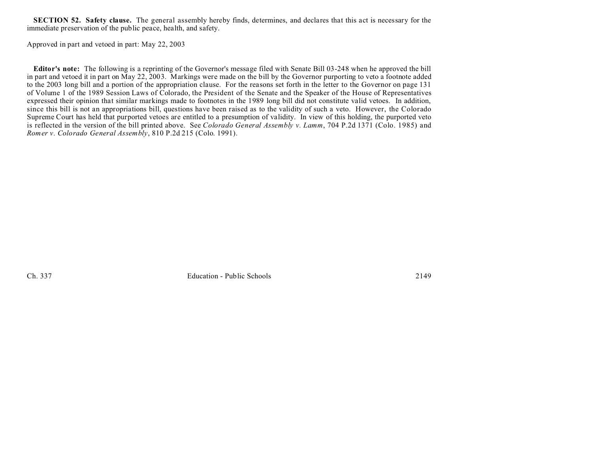**SECTION 52. Safety clause.** The general assembly hereby finds, determines, and declares that this act is necessary for the immediate preservation of the public peace, health, and safety.

Approved in part and vetoed in part: May 22, 2003

**Editor's note:** The following is a reprinting of the Governor's message filed with Senate Bill 03-248 when he approved the bill in part and vetoed it in part on May 22, 2003. Markings were made on the bill by the Governor purporting to veto a footnote added to the 2003 long bill and a portion of the appropriation clause. For the reasons set forth in the letter to the Governor on page 131 of Volume 1 of the 1989 Session Laws of Colorado, the President of the Senate and the Speaker of the House of Representatives expressed their opinion that similar markings made to footnotes in the 1989 long bill did not constitute valid vetoes. In addition, since this bill is not an appropriations bill, questions have been raised as to the validity of such a veto. However, the Colorado Supreme Court has held that purported vetoes are entitled to a presumption of validity. In view of this holding, the purported veto is reflected in the version of the bill printed above. See *Colorado General Assembly v. Lamm*, 704 P.2d 1371 (Colo. 1985) and *Romer v. Colorado General Assembly*, 810 P.2d 215 (Colo. 1991).

Ch. 337 Education - Public Schools 2149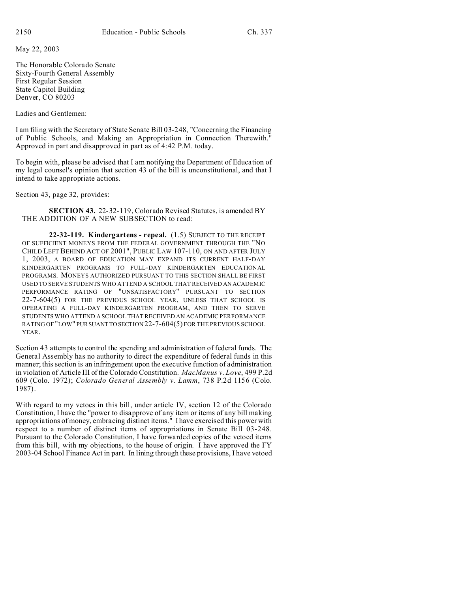May 22, 2003

The Honorable Colorado Senate Sixty-Fourth General Assembly First Regular Session State Capitol Building Denver, CO 80203

Ladies and Gentlemen:

I am filing with the Secretary of State Senate Bill 03-248, "Concerning the Financing of Public Schools, and Making an Appropriation in Connection Therewith." Approved in part and disapproved in part as of 4:42 P.M. today.

To begin with, please be advised that I am notifying the Department of Education of my legal counsel's opinion that section 43 of the bill is unconstitutional, and that I intend to take appropriate actions.

Section 43, page 32, provides:

**SECTION 43.** 22-32-119, Colorado Revised Statutes, is amended BY THE ADDITION OF A NEW SUBSECTION to read:

**22-32-119. Kindergartens - repeal.** (1.5) SUBJECT TO THE RECEIPT OF SUFFICIENT MONEYS FROM THE FEDERAL GOVERNMENT THROUGH THE "NO CHILD LEFT BEHIND ACT OF 2001", PUBLIC LAW 107-110, ON AND AFTER JULY 1, 2003, A BOARD OF EDUCATION MAY EXPAND ITS CURRENT HALF-DAY KINDERGARTEN PROGRAMS TO FULL-DAY KINDERGARTEN EDUCATIONAL PROGRAMS. MONEYS AUTHORIZED PURSUANT TO THIS SECTION SHALL BE FIRST USED TO SERVE STUDENTS WHO ATTEND A SCHOOL THAT RECEIVED AN ACADEMIC PERFORMANCE RATING OF "UNSATISFACTORY" PURSUANT TO SECTION 22-7-604(5) FOR THE PREVIOUS SCHOOL YEAR, UNLESS THAT SCHOOL IS OPERATING A FULL-DAY KINDERGARTEN PROGRAM, AND THEN TO SERVE STUDENTS WHO ATTEND A SCHOOL THAT RECEIVED AN ACADEMIC PERFORMANCE RATING OF "LOW" PURSUANTTO SECTION 22-7-604(5) FOR THE PREVIOUS SCHOOL YEAR.

Section 43 attempts to control the spending and administration of federal funds. The General Assembly has no authority to direct the expenditure of federal funds in this manner; this section is an infringement upon the executive function of administration in violation of Article III of the Colorado Constitution. *MacManus v. Love*, 499 P.2d 609 (Colo. 1972); *Colorado General Assembly v. Lamm*, 738 P.2d 1156 (Colo. 1987).

With regard to my vetoes in this bill, under article IV, section 12 of the Colorado Constitution, I have the "power to disapprove of any item or items of any bill making appropriations of money, embracing distinct items." I have exercised this power with respect to a number of distinct items of appropriations in Senate Bill 03-248. Pursuant to the Colorado Constitution, I have forwarded copies of the vetoed items from this bill, with my objections, to the house of origin. I have approved the FY 2003-04 School Finance Act in part. In lining through these provisions, I have vetoed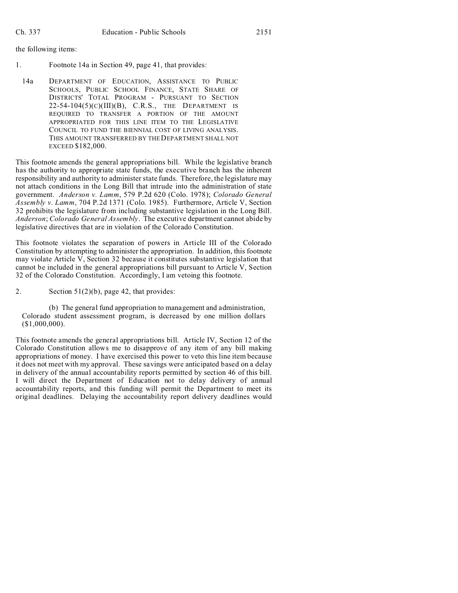the following items:

- 1. Footnote 14a in Section 49, page 41, that provides:
- 14a DEPARTMENT OF EDUCATION, ASSISTANCE TO PUBLIC SCHOOLS, PUBLIC SCHOOL FINANCE, STATE SHARE OF DISTRICTS' TOTAL PROGRAM - PURSUANT TO SECTION  $22-54-104(5)(C)(III)(B)$ , C.R.S., THE DEPARTMENT IS REQUIRED TO TRANSFER A PORTION OF THE AMOUNT APPROPRIATED FOR THIS LINE ITEM TO THE LEGISLATIVE COUNCIL TO FUND THE BIENNIAL COST OF LIVING ANALYSIS. THIS AMOUNT TRANSFERRED BY THE DEPARTMENT SHALL NOT EXCEED \$182,000.

This footnote amends the general appropriations bill. While the legislative branch has the authority to appropriate state funds, the executive branch has the inherent responsibility and authority to administer state funds. Therefore, the legislature may not attach conditions in the Long Bill that intrude into the administration of state government. *Anderson v. Lamm*, 579 P.2d 620 (Colo. 1978); *Colorado General Assembly v. Lamm*, 704 P.2d 1371 (Colo. 1985). Furthermore, Article V, Section 32 prohibits the legislature from including substantive legislation in the Long Bill. *Anderson*; *Colorado General Assembly*. The executive department cannot abide by legislative directives that are in violation of the Colorado Constitution.

This footnote violates the separation of powers in Article III of the Colorado Constitution by attempting to administer the appropriation. In addition, this footnote may violate Article V, Section 32 because it constitutes substantive legislation that cannot be included in the general appropriations bill pursuant to Article V, Section 32 of the Colorado Constitution. Accordingly, I am vetoing this footnote.

2. Section 51(2)(b), page 42, that provides:

(b) The general fund appropriation to management and administration, Colorado student assessment program, is decreased by one million dollars (\$1,000,000).

This footnote amends the general appropriations bill. Article IV, Section 12 of the Colorado Constitution allows me to disapprove of any item of any bill making appropriations of money. I have exercised this power to veto this line item because it does not meet with my approval. These savings were anticipated based on a delay in delivery of the annual accountability reports permitted by section 46 of this bill. I will direct the Department of Education not to delay delivery of annual accountability reports, and this funding will permit the Department to meet its original deadlines. Delaying the accountability report delivery deadlines would